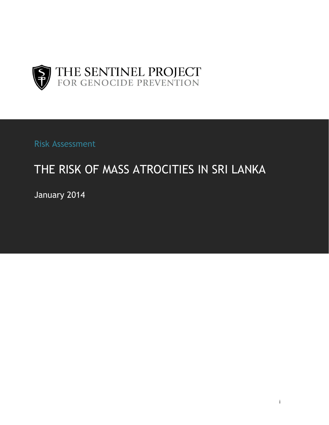

Risk Assessment

# THE RISK OF MASS ATROCITIES IN SRI LANKA

January 2014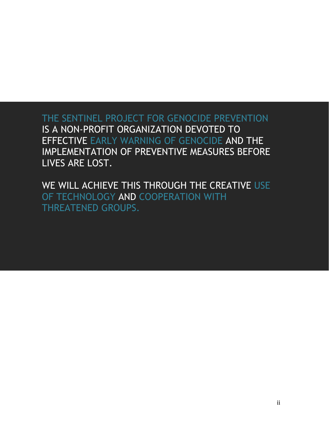THE SENTINEL PROJECT FOR GENOCIDE PREVENTION IS A NON-PROFIT ORGANIZATION DEVOTED TO EFFECTIVE EARLY WARNING OF GENOCIDE AND THE IMPLEMENTATION OF PREVENTIVE MEASURES BEFORE LIVES ARE LOST.

WE WILL ACHIEVE THIS THROUGH THE CREATIVE USE OF TECHNOLOGY AND COOPERATION WITH THREATENED GROUPS.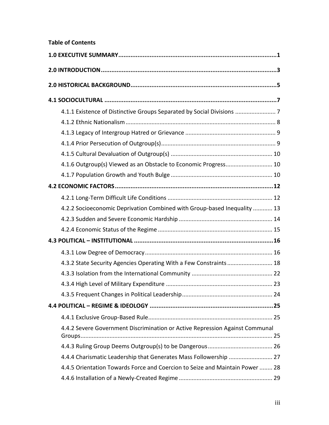# **Table of Contents**

| 4.1.1 Existence of Distinctive Groups Separated by Social Divisions  7       |  |
|------------------------------------------------------------------------------|--|
|                                                                              |  |
|                                                                              |  |
|                                                                              |  |
|                                                                              |  |
| 4.1.6 Outgroup(s) Viewed as an Obstacle to Economic Progress 10              |  |
|                                                                              |  |
|                                                                              |  |
|                                                                              |  |
| 4.2.2 Socioeconomic Deprivation Combined with Group-based Inequality  13     |  |
|                                                                              |  |
|                                                                              |  |
|                                                                              |  |
|                                                                              |  |
| 4.3.2 State Security Agencies Operating With a Few Constraints  18           |  |
|                                                                              |  |
|                                                                              |  |
|                                                                              |  |
|                                                                              |  |
|                                                                              |  |
| 4.4.2 Severe Government Discrimination or Active Repression Against Communal |  |
|                                                                              |  |
|                                                                              |  |
| 4.4.5 Orientation Towards Force and Coercion to Seize and Maintain Power  28 |  |
|                                                                              |  |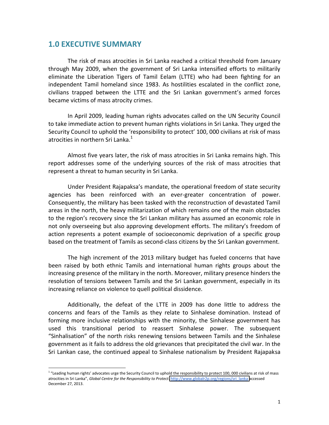## **1.0 EXECUTIVE SUMMARY**

!!!!!!!!!!!!!!!!!!!!!!!!!!!!!!!!!!!!!!!!!!!!!!!!!!!!!!!

The risk of mass atrocities in Sri Lanka reached a critical threshold from January through May 2009, when the government of Sri Lanka intensified efforts to militarily eliminate the Liberation Tigers of Tamil Eelam (LTTE) who had been fighting for an independent Tamil homeland since 1983. As hostilities escalated in the conflict zone, civilians trapped between the LTTE and the Sri Lankan government's armed forces became victims of mass atrocity crimes.

In April 2009, leading human rights advocates called on the UN Security Council to take immediate action to prevent human rights violations in Sri Lanka. They urged the Security Council to uphold the 'responsibility to protect' 100, 000 civilians at risk of mass atrocities in northern Sri Lanka. $1$ 

Almost five years later, the risk of mass atrocities in Sri Lanka remains high. This report addresses some of the underlying sources of the risk of mass atrocities that represent a threat to human security in Sri Lanka.

Under President Rajapaksa's mandate, the operational freedom of state security agencies has been reinforced with an ever-greater concentration of power. Consequently, the military has been tasked with the reconstruction of devastated Tamil areas in the north, the heavy militarization of which remains one of the main obstacles to the region's recovery since the Sri Lankan military has assumed an economic role in not only overseeing but also approving development efforts. The military's freedom of action represents a potent example of socioeconomic deprivation of a specific group based on the treatment of Tamils as second-class citizens by the Sri Lankan government.

The high increment of the 2013 military budget has fueled concerns that have been raised by both ethnic Tamils and international human rights groups about the increasing presence of the military in the north. Moreover, military presence hinders the resolution of tensions between Tamils and the Sri Lankan government, especially in its increasing reliance on violence to quell political dissidence.

Additionally, the defeat of the LTTE in 2009 has done little to address the concerns and fears of the Tamils as they relate to Sinhalese domination. Instead of forming more inclusive relationships with the minority, the Sinhalese government has used this transitional period to reassert Sinhalese power. The subsequent "Sinhalisation" of the north risks renewing tensions between Tamils and the Sinhalese government as it fails to address the old grievances that precipitated the civil war. In the Sri Lankan case, the continued appeal to Sinhalese nationalism by President Rajapaksa

<sup>&</sup>lt;sup>1</sup> "Leading human rights' advocates urge the Security Council to uphold the responsibility to protect 100, 000 civilians at risk of mass atrocities in Sri Lanka", Global Centre for the Responsibility to Protect. http://www.globalr2p.org/regions/sri\_lanka accessed December 27, 2013.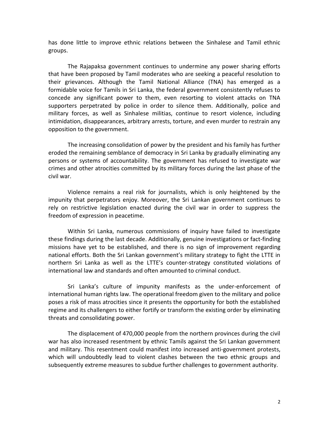has done little to improve ethnic relations between the Sinhalese and Tamil ethnic groups.

The Rajapaksa government continues to undermine any power sharing efforts that have been proposed by Tamil moderates who are seeking a peaceful resolution to their grievances. Although the Tamil National Alliance (TNA) has emerged as a formidable voice for Tamils in Sri Lanka, the federal government consistently refuses to concede any significant power to them, even resorting to violent attacks on TNA supporters perpetrated by police in order to silence them. Additionally, police and military forces, as well as Sinhalese militias, continue to resort violence, including intimidation, disappearances, arbitrary arrests, torture, and even murder to restrain any opposition to the government.

The increasing consolidation of power by the president and his family has further eroded the remaining semblance of democracy in Sri Lanka by gradually eliminating any persons or systems of accountability. The government has refused to investigate war crimes and other atrocities committed by its military forces during the last phase of the civil war.

Violence remains a real risk for journalists, which is only heightened by the impunity that perpetrators enjoy. Moreover, the Sri Lankan government continues to rely on restrictive legislation enacted during the civil war in order to suppress the freedom of expression in peacetime.

Within Sri Lanka, numerous commissions of inquiry have failed to investigate these findings during the last decade. Additionally, genuine investigations or fact-finding missions have yet to be established, and there is no sign of improvement regarding national efforts. Both the Sri Lankan government's military strategy to fight the LTTE in northern Sri Lanka as well as the LTTE's counter-strategy constituted violations of international law and standards and often amounted to criminal conduct.

Sri Lanka's culture of impunity manifests as the under-enforcement of international human rights law. The operational freedom given to the military and police poses a risk of mass atrocities since it presents the opportunity for both the established regime and its challengers to either fortify or transform the existing order by eliminating threats and consolidating power.

The displacement of 470,000 people from the northern provinces during the civil war has also increased resentment by ethnic Tamils against the Sri Lankan government and military. This resentment could manifest into increased anti-government protests, which will undoubtedly lead to violent clashes between the two ethnic groups and subsequently extreme measures to subdue further challenges to government authority.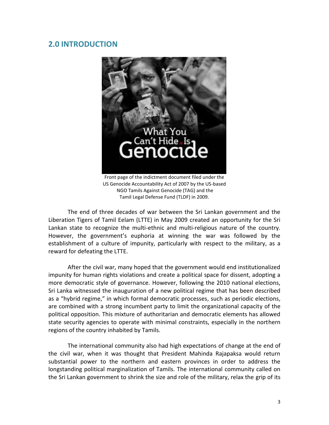# **2.0 INTRODUCTION**



Front page of the indictment document filed under the US Genocide Accountability Act of 2007 by the US-based NGO Tamils Against Genocide (TAG) and the Tamil Legal Defense Fund (TLDF) in 2009.

The end of three decades of war between the Sri Lankan government and the Liberation Tigers of Tamil Eelam (LTTE) in May 2009 created an opportunity for the Sri Lankan state to recognize the multi-ethnic and multi-religious nature of the country. However, the government's euphoria at winning the war was followed by the establishment of a culture of impunity, particularly with respect to the military, as a reward for defeating the LTTE.

After the civil war, many hoped that the government would end institutionalized impunity for human rights violations and create a political space for dissent, adopting a more democratic style of governance. However, following the 2010 national elections, Sri Lanka witnessed the inauguration of a new political regime that has been described as a "hybrid regime," in which formal democratic processes, such as periodic elections, are combined with a strong incumbent party to limit the organizational capacity of the political opposition. This mixture of authoritarian and democratic elements has allowed state security agencies to operate with minimal constraints, especially in the northern regions of the country inhabited by Tamils.

The international community also had high expectations of change at the end of the civil war, when it was thought that President Mahinda Rajapaksa would return substantial power to the northern and eastern provinces in order to address the longstanding political marginalization of Tamils. The international community called on the Sri Lankan government to shrink the size and role of the military, relax the grip of its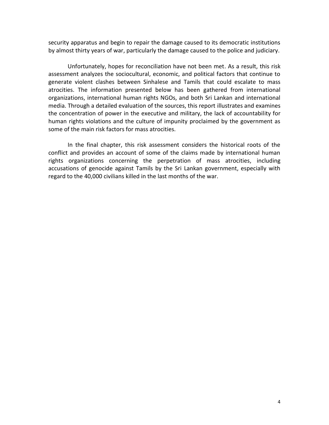security apparatus and begin to repair the damage caused to its democratic institutions by almost thirty years of war, particularly the damage caused to the police and judiciary.

Unfortunately, hopes for reconciliation have not been met. As a result, this risk assessment analyzes the sociocultural, economic, and political factors that continue to generate violent clashes between Sinhalese and Tamils that could escalate to mass atrocities. The information presented below has been gathered from international organizations, international human rights NGOs, and both Sri Lankan and international media. Through a detailed evaluation of the sources, this report illustrates and examines the concentration of power in the executive and military, the lack of accountability for human rights violations and the culture of impunity proclaimed by the government as some of the main risk factors for mass atrocities.

In the final chapter, this risk assessment considers the historical roots of the conflict and provides an account of some of the claims made by international human rights organizations concerning the perpetration of mass atrocities, including accusations of genocide against Tamils by the Sri Lankan government, especially with regard to the 40,000 civilians killed in the last months of the war.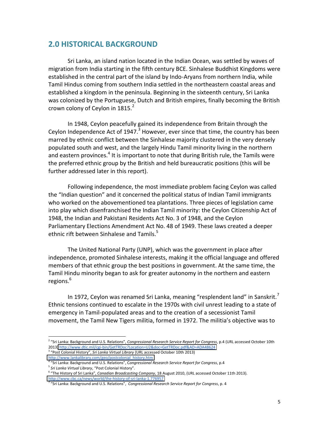## **2.0 HISTORICAL BACKGROUND**

Sri Lanka, an island nation located in the Indian Ocean, was settled by waves of migration from India starting in the fifth century BCE. Sinhalese Buddhist Kingdoms were established in the central part of the island by Indo-Aryans from northern India, while Tamil Hindus coming from southern India settled in the northeastern coastal areas and established a kingdom in the peninsula. Beginning in the sixteenth century, Sri Lanka was colonized by the Portuguese, Dutch and British empires, finally becoming the British crown colony of Ceylon in  $1815.<sup>2</sup>$ 

In 1948, Ceylon peacefully gained its independence from Britain through the Ceylon Independence Act of 1947.<sup>3</sup> However, ever since that time, the country has been marred by ethnic conflict between the Sinhalese majority clustered in the very densely populated south and west, and the largely Hindu Tamil minority living in the northern and eastern provinces.<sup>4</sup> It is important to note that during British rule, the Tamils were the preferred ethnic group by the British and held bureaucratic positions (this will be further addressed later in this report).

Following independence, the most immediate problem facing Ceylon was called the "Indian question" and it concerned the political status of Indian Tamil immigrants who worked on the abovementioned tea plantations. Three pieces of legislation came into play which disenfranchised the Indian Tamil minority: the Ceylon Citizenship Act of 1948, the Indian and Pakistani Residents Act No. 3 of 1948, and the Ceylon Parliamentary Elections Amendment Act No. 48 of 1949. These laws created a deeper ethnic rift between Sinhalese and Tamils.<sup>5</sup>

The United National Party (UNP), which was the government in place after independence, promoted Sinhalese interests, making it the official language and offered members of that ethnic group the best positions in government. At the same time, the Tamil Hindu minority began to ask for greater autonomy in the northern and eastern regions.<sup>6</sup>

In 1972, Ceylon was renamed Sri Lanka, meaning "resplendent land" in Sanskrit.<sup>7</sup> Ethnic tensions continued to escalate in the 1970s with civil unrest leading to a state of emergency in Tamil-populated areas and to the creation of a secessionist Tamil movement, the Tamil New Tigers militia, formed in 1972. The militia's objective was to

<sup>&</sup>lt;sup>2</sup> "Sri Lanka: Background and U.S. Relations", Congressional Research Service Report for Congress, p.4 (URL accessed October 10th 2013) http://www.dtic.mil/cgi-bin/GetTRDoc?Location=U2&doc=GetTRDoc.pdf&AD=ADA48624<br><sup>3</sup> "Post Colonial History", *Sri Lanka Virtual Library* (URL accessed October 10th 2013)

[http://www.lankalibrary.com/geo/postcolonial\\_history.htm](http://www.lankalibrary.com/geo/postcolonial_history.htm)

<sup>&</sup>lt;sup>4</sup> "Sri Lanka: Background and U.S. Relations", Congressional Research Service Report for Congress, p.4<br><sup>5</sup> Sri Lanka Virtual Library, "Post Colonial History".

<sup>&</sup>lt;sup>6</sup> "The History of Sri Lanka", Canadian Broadcasting Company, 18 August 2010, (URL accessed October 11th 2013). http://www.cbc.ca/news/world/the-history-of-sri-lanka-1.776957

<sup>&</sup>quot;Sri Lanka: Background and U.S. Relations", Congressional Research Service Report for Congress, p. 4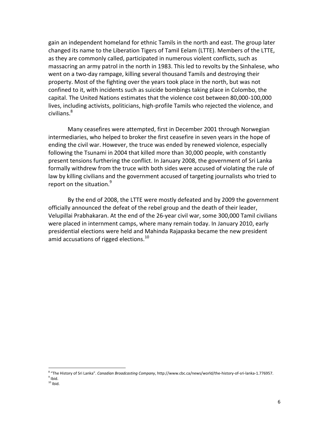gain an independent homeland for ethnic Tamils in the north and east. The group later changed its name to the Liberation Tigers of Tamil Eelam (LTTE). Members of the LTTE, as they are commonly called, participated in numerous violent conflicts, such as massacring an army patrol in the north in 1983. This led to revolts by the Sinhalese, who went on a two-day rampage, killing several thousand Tamils and destroying their property. Most of the fighting over the years took place in the north, but was not confined to it, with incidents such as suicide bombings taking place in Colombo, the capital. The United Nations estimates that the violence cost between 80,000-100,000 lives, including activists, politicians, high-profile Tamils who rejected the violence, and civilians.<sup>8</sup>

Many ceasefires were attempted, first in December 2001 through Norwegian intermediaries, who helped to broker the first ceasefire in seven years in the hope of ending the civil war. However, the truce was ended by renewed violence, especially following the Tsunami in 2004 that killed more than 30,000 people, with constantly present tensions furthering the conflict. In January 2008, the government of Sri Lanka formally withdrew from the truce with both sides were accused of violating the rule of law by killing civilians and the government accused of targeting journalists who tried to report on the situation. $9$ 

By the end of 2008, the LTTE were mostly defeated and by 2009 the government officially announced the defeat of the rebel group and the death of their leader, Velupillai Prabhakaran. At the end of the 26-year civil war, some 300,000 Tamil civilians were placed in internment camps, where many remain today. In January 2010, early presidential elections were held and Mahinda Rajapaska became the new president amid accusations of rigged elections.<sup>10</sup>

<sup>&</sup>lt;sup>8</sup> "The History of Sri Lanka". *Canadian Broadcasting Company*, http://www.cbc.ca/news/world/the-history-of-sri-lanka-1.776957. 9 Poid.

 $10$  Ibid.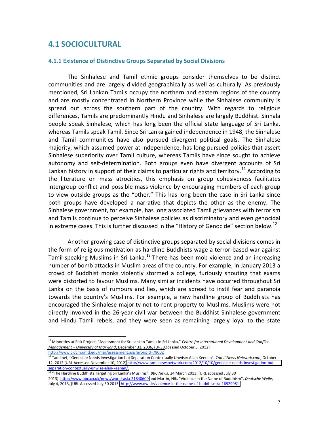## **4.1 SOCIOCULTURAL**

!!!!!!!!!!!!!!!!!!!!!!!!!!!!!!!!!!!!!!!!!!!!!!!!!!!!!!!

#### **4.1.1 Existence of Distinctive Groups Separated by Social Divisions**

The Sinhalese and Tamil ethnic groups consider themselves to be distinct communities and are largely divided geographically as well as culturally. As previously mentioned, Sri Lankan Tamils occupy the northern and eastern regions of the country and are mostly concentrated in Northern Province while the Sinhalese community is spread out across the southern part of the country. With regards to religious differences, Tamils are predominantly Hindu and Sinhalese are largely Buddhist. Sinhala people speak Sinhalese, which has long been the official state language of Sri Lanka, whereas Tamils speak Tamil. Since Sri Lanka gained independence in 1948, the Sinhalese and Tamil communities have also pursued divergent political goals. The Sinhalese majority, which assumed power at independence, has long pursued policies that assert Sinhalese superiority over Tamil culture, whereas Tamils have since sought to achieve autonomy and self-determination. Both groups even have divergent accounts of Sri Lankan history in support of their claims to particular rights and territory.<sup>11</sup> According to the literature on mass atrocities, this emphasis on group cohesiveness facilitates intergroup conflict and possible mass violence by encouraging members of each group to view outside groups as the "other." This has long been the case in Sri Lanka since both groups have developed a narrative that depicts the other as the enemy. The Sinhalese government, for example, has long associated Tamil grievances with terrorism and Tamils continue to perceive Sinhalese policies as discriminatory and even genocidal in extreme cases. This is further discussed in the "History of Genocide" section below.<sup>12</sup>

Another growing case of distinctive groups separated by social divisions comes in the form of religious motivation as hardline Buddhists wage a terror-based war against Tamil-speaking Muslims in Sri Lanka.<sup>13</sup> There has been mob violence and an increasing number of bomb attacks in Muslim areas of the country. For example, in January 2013 a crowd of Buddhist monks violently stormed a college, furiously shouting that exams were distorted to favour Muslims. Many similar incidents have occurred throughout Sri Lanka on the basis of rumours and lies, which are spread to instil fear and paranoia towards the country's Muslims. For example, a new hardline group of Buddhists has encouraged the Sinhalese majority not to rent property to Muslims. Muslims were not directly involved in the 26-year civil war between the Buddhist Sinhalese government and Hindu Tamil rebels, and they were seen as remaining largely loyal to the state

<sup>&</sup>lt;sup>11</sup> Minorities at Risk Proiect. "Assessment for Sri Lankan Tamils in Sri Lanka." Centre for International Development and Conflict *Management* - *University of Maryland*, December 31, 2006, (URL Accessed October 5, 2012) <http://www.cidcm.umd.edu/mar/assessment.asp?groupId=78002>

<sup>&</sup>lt;sup>12</sup> Tamilnet, "Genocide Needs Investigation but Separation Contextually Unwise: Allan Keenan", Tamil News Network.com, October 12, 2012 (URL Accessed November 10, 2012) http://www.tamilnewsnetwork.com/2012/10/10/genocide-needs-investigation-but-<u>separation-contextually-unwise-alan-keenan/</u>.

<sup>&</sup>lt;sup>13</sup> "The Hardline Buddhists Targeting Sri Lanka's Muslims", BBC News, 24 March 2013, (URL accessed July 30

<sup>2013)</sup> http://www.bbc.co.uk/news/world-asia-21840600 and Martin, Nik. "Violence in the Name of Buddhism", Deutsche Welle, July 4, 2013, (URL Accessed July 30 2013) http://www.dw.de/violence-in-the-name-of-buddhism/a-16929981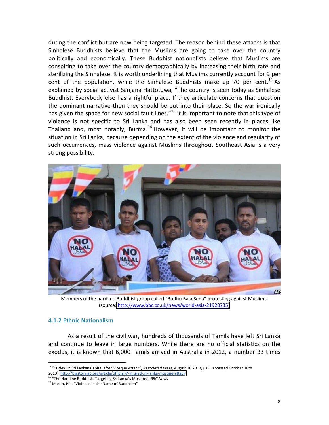during the conflict but are now being targeted. The reason behind these attacks is that Sinhalese Buddhists believe that the Muslims are going to take over the country politically and economically. These Buddhist nationalists believe that Muslims are conspiring to take over the country demographically by increasing their birth rate and sterilizing the Sinhalese. It is worth underlining that Muslims currently account for 9 per cent of the population, while the Sinhalese Buddhists make up 70 per cent.<sup>14</sup> As explained by social activist Sanjana Hattotuwa, "The country is seen today as Sinhalese Buddhist. Everybody else has a rightful place. If they articulate concerns that question the dominant narrative then they should be put into their place. So the war ironically has given the space for new social fault lines."<sup>15</sup> It is important to note that this type of violence is not specific to Sri Lanka and has also been seen recently in places like Thailand and, most notably, Burma.<sup>16</sup> However, it will be important to monitor the situation in Sri Lanka, because depending on the extent of the violence and regularity of such occurrences, mass violence against Muslims throughout Southeast Asia is a very strong possibility.



Members of the hardline Buddhist group called "Bodhu Bala Sena" protesting against Muslims. (source: http://www.bbc.co.uk/news/world-asia-21920735)

#### **4.1.2&Ethnic&Nationalism**

As a result of the civil war, hundreds of thousands of Tamils have left Sri Lanka and continue to leave in large numbers. While there are no official statistics on the exodus, it is known that 6,000 Tamils arrived in Australia in 2012, a number 33 times

<sup>&</sup>lt;sup>14</sup> "Curfew in Sri Lankan Capital after Mosque Attack", Associated Press, August 10 2013, (URL accessed October 10th 2013) http://bigstory.ap.org/article/official-7-injured-sri-lanka-mosque-attack 15 *"The Hardline Buddhists Targeting Sri Lanka's Muslims", BBC News* 

<sup>&</sup>lt;sup>16</sup> Martin, Nik. "Violence in the Name of Buddhism"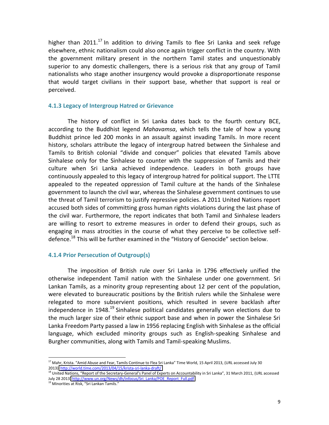higher than  $2011$ <sup>17</sup> In addition to driving Tamils to flee Sri Lanka and seek refuge elsewhere, ethnic nationalism could also once again trigger conflict in the country. With the government military present in the northern Tamil states and unquestionably superior to any domestic challengers, there is a serious risk that any group of Tamil nationalists who stage another insurgency would provoke a disproportionate response that would target civilians in their support base, whether that support is real or perceived.

#### **4.1.3 Legacy of Intergroup Hatred or Grievance**

The history of conflict in Sri Lanka dates back to the fourth century BCE, according to the Buddhist legend *Mahavamsa*, which tells the tale of how a young Buddhist prince led 200 monks in an assault against invading Tamils. In more recent history, scholars attribute the legacy of intergroup hatred between the Sinhalese and Tamils to British colonial "divide and conquer" policies that elevated Tamils above Sinhalese only for the Sinhalese to counter with the suppression of Tamils and their culture when Sri Lanka achieved independence. Leaders in both groups have continuously appealed to this legacy of intergroup hatred for political support. The LTTE appealed to the repeated oppression of Tamil culture at the hands of the Sinhalese government to launch the civil war, whereas the Sinhalese government continues to use the threat of Tamil terrorism to justify repressive policies. A 2011 United Nations report accused both sides of committing gross human rights violations during the last phase of the civil war. Furthermore, the report indicates that both Tamil and Sinhalese leaders are willing to resort to extreme measures in order to defend their groups, such as engaging in mass atrocities in the course of what they perceive to be collective selfdefence.<sup>18</sup> This will be further examined in the "History of Genocide" section below.

#### **4.1.4 Prior Persecution of Outgroup(s)**

The imposition of British rule over Sri Lanka in 1796 effectively unified the otherwise independent Tamil nation with the Sinhalese under one government. Sri Lankan Tamils, as a minority group representing about 12 per cent of the population, were elevated to bureaucratic positions by the British rulers while the Sinhalese were relegated to more subservient positions, which resulted in severe backlash after independence in  $1948$ <sup>19</sup> Sinhalese political candidates generally won elections due to the much larger size of their ethnic support base and when in power the Sinhalese Sri Lanka Freedom Party passed a law in 1956 replacing English with Sinhalese as the official language, which excluded minority groups such as English-speaking Sinhalese and Burgher communities, along with Tamils and Tamil-speaking Muslims.

<sup>&</sup>lt;sup>17</sup> Mahr, Krista. "Amid Abuse and Fear, Tamils Continue to Flea Sri Lanka" Time World, 15 April 2013, (URL accessed July 30 2013) http://world.time.com/2013/04/15/krista-sri-lanka-draft/

<sup>18</sup> United Nations, "Report of the Secretary-General's Panel of Experts on Accountability in Sri Lanka", 31 March 2011, (URL accessed July 28 2013) http://www.un.org/News/dh/infocus/Sri\_Lanka/POE\_Report\_Full.pdf

<sup>&</sup>lt;sup>19</sup> Minorities at Risk, "Sri Lankan Tamils."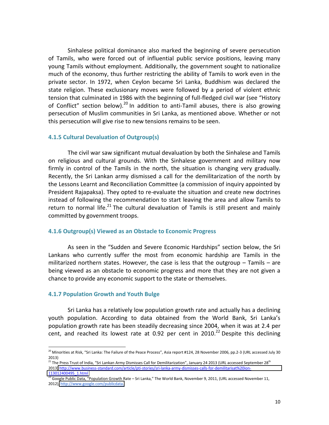Sinhalese political dominance also marked the beginning of severe persecution of Tamils, who were forced out of influential public service positions, leaving many young Tamils without employment. Additionally, the government sought to nationalize much of the economy, thus further restricting the ability of Tamils to work even in the private sector. In 1972, when Ceylon became Sri Lanka, Buddhism was declared the state religion. These exclusionary moves were followed by a period of violent ethnic tension that culminated in 1986 with the beginning of full-fledged civil war (see "History of Conflict" section below).<sup>20</sup> In addition to anti-Tamil abuses, there is also growing persecution of Muslim communities in Sri Lanka, as mentioned above. Whether or not this persecution will give rise to new tensions remains to be seen.

#### **4.1.5 Cultural Devaluation of Outgroup(s)**

The civil war saw significant mutual devaluation by both the Sinhalese and Tamils" on religious and cultural grounds. With the Sinhalese government and military now firmly in control of the Tamils in the north, the situation is changing very gradually. Recently, the Sri Lankan army dismissed a call for the demilitarization of the north by the Lessons Learnt and Reconciliation Committee (a commission of inquiry appointed by President Rajapaksa). They opted to re-evaluate the situation and create new doctrines instead of following the recommendation to start leaving the area and allow Tamils to return to normal life.<sup>21</sup> The cultural devaluation of Tamils is still present and mainly committed by government troops.

#### **4.1.6 Outgroup(s) Viewed as an Obstacle to Economic Progress**

As seen in the "Sudden and Severe Economic Hardships" section below, the Sri Lankans who currently suffer the most from economic hardship are Tamils in the militarized northern states. However, the case is less that the outgroup  $-$  Tamils  $-$  are being viewed as an obstacle to economic progress and more that they are not given a chance to provide any economic support to the state or themselves.

#### **4.1.7 Population Growth and Youth Bulge**

!!!!!!!!!!!!!!!!!!!!!!!!!!!!!!!!!!!!!!!!!!!!!!!!!!!!!!!

Sri Lanka has a relatively low population growth rate and actually has a declining youth population. According to data obtained from the World Bank, Sri Lanka's population growth rate has been steadily decreasing since 2004, when it was at 2.4 per cent, and reached its lowest rate at 0.92 per cent in  $2010$ .<sup>22</sup> Despite this declining

<sup>&</sup>lt;sup>20</sup> Minorities at Risk, "Sri Lanka: The Failure of the Peace Process", Asia report #124, 28 November 2006, pp.2-3 (URL accessed July 30 2013)"

<sup>2225,&</sup>lt;br><sup>21</sup> The Press Trust of India, "Sri Lankan Army Dismisses Call for Demilitarization", January 24 2013 (URL accessed September 28<sup>th</sup> 2013) http://www.business-standard.com/article/pti-stories/sri-lanka-army-dismisses-calls-for-demilitarisat%20ion-[113012400495\\_1.html](http://www.business-standard.com/article/pti-stories/sri-lanka-army-dismisses-calls-for-demilitarisat%20ion-113012400495_1.html)

 $^{22}$  Google Public Data, "Population Growth Rate – Sri Lanka," The World Bank, November 9, 2011, (URL accessed November 11, 2012), http://www.google.com/publicdata.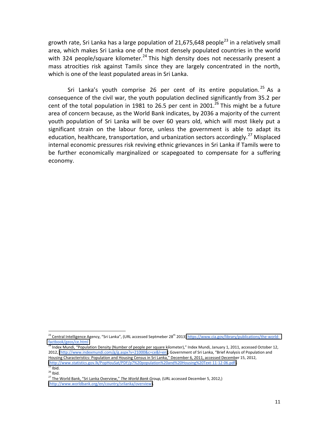growth rate, Sri Lanka has a large population of 21,675,648 people<sup>23</sup> in a relatively small area, which makes Sri Lanka one of the most densely populated countries in the world with 324 people/square kilometer.<sup>24</sup> This high density does not necessarily present a mass atrocities risk against Tamils since they are largely concentrated in the north, which is one of the least populated areas in Sri Lanka.

Sri Lanka's youth comprise 26 per cent of its entire population.  $25$  As a consequence of the civil war, the youth population declined significantly from 35.2 per cent of the total population in 1981 to 26.5 per cent in 2001.<sup>26</sup> This might be a future area of concern because, as the World Bank indicates, by 2036 a majority of the current youth population of Sri Lanka will be over 60 years old, which will most likely put a significant strain on the labour force, unless the government is able to adapt its education, healthcare, transportation, and urbanization sectors accordingly.<sup>27</sup> Misplaced internal economic pressures risk reviving ethnic grievances in Sri Lanka if Tamils were to be further economically marginalized or scapegoated to compensate for a suffering economy.

<sup>&</sup>lt;sup>23</sup> Central Intelligence Agency, "Sri Lanka", (URL accessed Septmeber 28<sup>th</sup> 2013) https://www.cia.gov/library/publications/the-world[factbook/geos/ce.html](https://www.cia.gov/library/publications/the-world-factbook/geos/ce.html)

<sup>&</sup>lt;sup>24</sup> Index Mundi, "Population Density (Number of people per square kilometer)," Index Mundi, January 1, 2011, accessed October 12, 2012, (http://www.indexmundi.com/g/g.aspx?v=21000&c=ce&l=en); Government of Sri Lanka, "Brief Analysis of Population and Housing Characteristics: Population and Housing Census in Sri Lanka," December 6, 2011, accessed December 15, 2012, (http://www.statistics.gov.lk/PopHouSat/PDF/p7%20population%20and%20Housing%20Text-11-12-06.pdf).<br><sup>25</sup> Ibid.<br><sup>26</sup> Ihid.

<sup>&</sup>lt;sup>27</sup> The World Bank, "Sri Lanka Overview," The World Bank Group, (URL accessed December 5, 2012,) [\(http://www.worldbank.org/en/country/srilanka/overview\)](http://www.worldbank.org/en/country/srilanka/overview).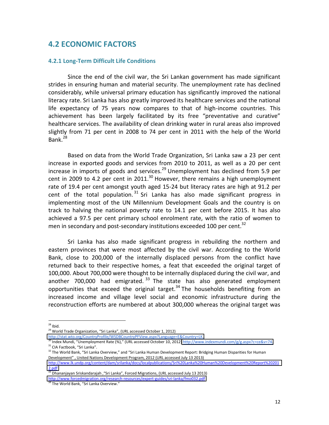# **4.2 ECONOMIC FACTORS**

#### **4.2.1 Long-Term Difficult Life Conditions**

Since the end of the civil war, the Sri Lankan government has made significant strides in ensuring human and material security. The unemployment rate has declined considerably, while universal primary education has significantly improved the national literacy rate. Sri Lanka has also greatly improved its healthcare services and the national life expectancy of 75 years now compares to that of high-income countries. This achievement has been largely facilitated by its free "preventative and curative" healthcare services. The availability of clean drinking water in rural areas also improved slightly from 71 per cent in 2008 to 74 per cent in 2011 with the help of the World Bank.<sup>28</sup>

Based on data from the World Trade Organization, Sri Lanka saw a 23 per cent increase in exported goods and services from 2010 to 2011, as well as a 20 per cent increase in imports of goods and services.<sup>29</sup> Unemployment has declined from 5.9 per cent in 2009 to 4.2 per cent in 2011.<sup>30</sup> However, there remains a high unemployment rate of 19.4 per cent amongst youth aged 15-24 but literacy rates are high at 91.2 per cent of the total population.  $31$  Sri Lanka has also made significant progress in implementing most of the UN Millennium Development Goals and the country is on track to halving the national poverty rate to 14.1 per cent before 2015. It has also achieved a 97.5 per cent primary school enrolment rate, with the ratio of women to men in secondary and post-secondary institutions exceeded 100 per cent.<sup>32</sup>

Sri Lanka has also made significant progress in rebuilding the northern and eastern provinces that were most affected by the civil war. According to the World Bank, close to 200,000 of the internally displaced persons from the conflict have returned back to their respective homes, a feat that exceeded the original target of 100,000. About 700,000 were thought to be internally displaced during the civil war, and another  $700,000$  had emigrated.  $33$  The state has also generated employment opportunities that exceed the original target.<sup>34</sup> The households benefiting from an increased income and village level social and economic infrastructure during the reconstruction efforts are numbered at about 300,000 whereas the original target was

 $28$  Ibid.

<sup>&</sup>lt;sup>29</sup> World Trade Organization, "Sri Lanka", (URL accessed October 1, 2012)

[http://stat.wto.org/CountryProfile/WSDBCountryPFView.aspx?Language=E&Country=LK.](http://stat.wto.org/CountryProfile/WSDBCountryPFView.aspx?Language=E&Country=LK)<br><sup>30</sup> Index Mundi, "Unemployment Rate (%)," (URL accessed October 10, 2012) http://www.indexmundi.com/g/g.aspx?c=ce&v=74.  $31$  CIA Factbook, "Sri Lanka".<br> $32$  The World Bank, "Sri Lanka Overview," and "Sri Lanka Human Development Report: Bridging Human Disparities for Human

Development", United Nations Development Program, 2012 (URL accessed July 13 2013)

[http://www.lk.undp.org/content/dam/srilanka/docs/localpublications/Sri%20Lanka%20Human%20Development%20Report%20201](http://www.lk.undp.org/content/dam/srilanka/docs/localpublications/Sri%20Lanka%20Human%20Development%20Report%202012.pdf) [2.pdf](http://www.lk.undp.org/content/dam/srilanka/docs/localpublications/Sri%20Lanka%20Human%20Development%20Report%202012.pdf)

<sup>33</sup> Dhananjayan Sriskandarajah ,"Sri Lanka", Forced Migrations, (URL accessed July 13 2013)

http://www.forcedmigration.org/research-resources/expert-guides/sri-lanka/fmo032.pdf

<sup>34</sup> The World Bank, "Sri Lanka Overview."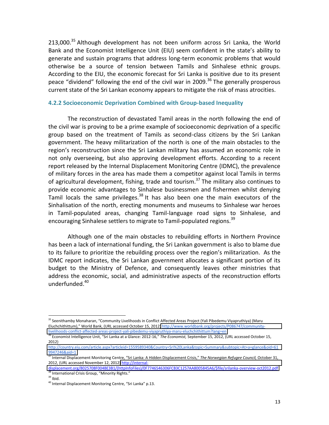213,000. $35$  Although development has not been uniform across Sri Lanka, the World Bank and the Economist Intelligence Unit (EIU) seem confident in the state's ability to generate and sustain programs that address long-term economic problems that would otherwise be a source of tension between Tamils and Sinhalese ethnic groups. According to the EIU, the economic forecast for Sri Lanka is positive due to its present peace "dividend" following the end of the civil war in 2009.<sup>36</sup> The generally prosperous current state of the Sri Lankan economy appears to mitigate the risk of mass atrocities.

#### **4.2.2 Socioeconomic Deprivation Combined with Group-based Inequality**

The reconstruction of devastated Tamil areas in the north following the end of the civil war is proving to be a prime example of socioeconomic deprivation of a specific group based on the treatment of Tamils as second-class citizens by the Sri Lankan government. The heavy militarization of the north is one of the main obstacles to the region's reconstruction since the Sri Lankan military has assumed an economic role in not only overseeing, but also approving development efforts. According to a recent report released by the Internal Displacement Monitoring Centre (IDMC), the prevalence of military forces in the area has made them a competitor against local Tamils in terms of agricultural development, fishing, trade and tourism.<sup>37</sup> The military also continues to provide economic advantages to Sinhalese businessmen and fishermen whilst denying Tamil locals the same privileges. $38$  It has also been one the main executors of the Sinhalisation of the north, erecting monuments and museums to Sinhalese war heroes in Tamil-populated areas, changing Tamil-language road signs to Sinhalese, and encouraging Sinhalese settlers to migrate to Tamil-populated regions.<sup>39</sup>

Although one of the main obstacles to rebuilding efforts in Northern Province has been a lack of international funding, the Sri Lankan government is also to blame due to its failure to prioritize the rebuilding process over the region's militarization. As the IDMC report indicates, the Sri Lankan government allocates a significant portion of its budget to the Ministry of Defence, and consequently leaves other ministries that address the economic, social, and administrative aspects of the reconstruction efforts underfunded.40

<sup>&</sup>lt;sup>35</sup> Seenithamby Monaharan, "Community Livelihoods in Conflict Affected Areas Project (Yali Pibedemu Viyapruthiya) (Maru Eluchchithittum)," World Bank, (URL accessed October 15, 2012) http://www.worldbank.org/projects/P086747/communitylivelihoods-conflict-affected-areas-project-yali-pibedemu-viyapruthiya-maru-eluchchithittum?lang=en<br><sup>36</sup> Economist Intelligence Unit, "Sri Lanka at a Glance: 2012-16," The Economist, September 15, 2012, (URL accessed Octob

 $2012$ 

[http://country.eiu.com/article.aspx?articleid=1559589340&Country=Sri%20Lanka&topic=Summary&subtopic=At+a+glance&oid=61](http://country.eiu.com/article.aspx?articleid=1559589340&Country=Sri%20Lanka&topic=Summary&subtopic=At+a+glance&oid=619947246&aid=1) [9947246&aid=1](http://country.eiu.com/article.aspx?articleid=1559589340&Country=Sri%20Lanka&topic=Summary&subtopic=At+a+glance&oid=619947246&aid=1)

<sup>&</sup>lt;sup>37</sup> Internal Displacement Monitoring Centre, "Sri Lanka: A Hidden Displacement Crisis," The Norwegian Refugee Council, October 31, 2012, (URL accessed November 12, 2012) http://internal-

displacement.org/8025708F004BE3B1/(httpInfoFiles)/0F7746546306FCB3C1257AA8005845A6/\$file/srilanka-overview-oct2012.pdf  $\frac{38}{39}$  International Crisis Group, "Minority Rights."<br> $\frac{39}{39}$  Ihid.

<sup>40</sup> Internal Displacement Monitoring Centre, "Sri Lanka" p.13.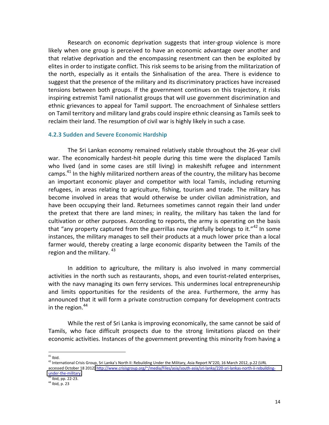Research on economic deprivation suggests that inter-group violence is more likely when one group is perceived to have an economic advantage over another and that relative deprivation and the encompassing resentment can then be exploited by elites in order to instigate conflict. This risk seems to be arising from the militarization of the north, especially as it entails the Sinhalisation of the area. There is evidence to suggest that the presence of the military and its discriminatory practices have increased tensions between both groups. If the government continues on this trajectory, it risks inspiring extremist Tamil nationalist groups that will use government discrimination and ethnic grievances to appeal for Tamil support. The encroachment of Sinhalese settlers on Tamil territory and military land grabs could inspire ethnic cleansing as Tamils seek to reclaim their land. The resumption of civil war is highly likely in such a case.

#### **4.2.3 Sudden and Severe Economic Hardship**

The Sri Lankan economy remained relatively stable throughout the 26-year civil war. The economically hardest-hit people during this time were the displaced Tamils who lived (and in some cases are still living) in makeshift refugee and internment camps. $^{41}$  In the highly militarized northern areas of the country, the military has become an important economic player and competitor with local Tamils, including returning refugees, in areas relating to agriculture, fishing, tourism and trade. The military has become involved in areas that would otherwise be under civilian administration, and have been occupying their land. Returnees sometimes cannot regain their land under the pretext that there are land mines; in reality, the military has taken the land for cultivation or other purposes. According to reports, the army is operating on the basis that "any property captured from the guerrillas now rightfully belongs to it."<sup>42</sup> In some instances, the military manages to sell their products at a much lower price than a local farmer would, thereby creating a large economic disparity between the Tamils of the region and the military.  $43<sup>-13</sup>$ 

In addition to agriculture, the military is also involved in many commercial activities in the north such as restaurants, shops, and even tourist-related enterprises, with the navy managing its own ferry services. This undermines local entrepreneurship and limits opportunities for the residents of the area. Furthermore, the army has announced that it will form a private construction company for development contracts in the region. $44$ 

While the rest of Sri Lanka is improving economically, the same cannot be said of Tamils, who face difficult prospects due to the strong limitations placed on their economic activities. Instances of the government preventing this minority from having a

<sup>&</sup>lt;sup>41</sup> Ibid.<br><sup>42</sup> International Crisis Group, Sri Lanka's North II: Rebuilding Under the Military, Asia Report N°220, 16 March 2012, p.22 (URL accessed October 18 2012) http://www.crisisgroup.org/~/media/Files/asia/south-asia/sri-lanka/220-sri-lankas-north-ii-rebuilding- $\frac{\text{under-the-mility}}{43}$  Ibid, pp. 22-23.

 $44$  Ibid, p. 23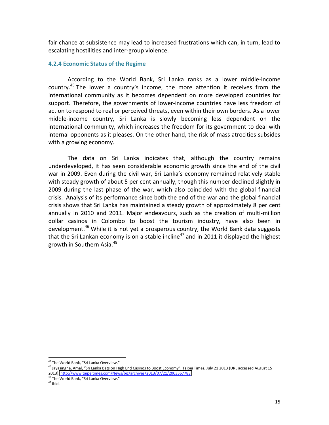fair chance at subsistence may lead to increased frustrations which can, in turn, lead to escalating hostilities and inter-group violence.

#### **4.2.4 Economic Status of the Regime**

According to the World Bank, Sri Lanka ranks as a lower middle-income country.<sup>45</sup> The lower a country's income, the more attention it receives from the international community as it becomes dependent on more developed countries for support. Therefore, the governments of lower-income countries have less freedom of action to respond to real or perceived threats, even within their own borders. As a lower middle-income country, Sri Lanka is slowly becoming less dependent on the international community, which increases the freedom for its government to deal with internal opponents as it pleases. On the other hand, the risk of mass atrocities subsides with a growing economy.

The data on Sri Lanka indicates that, although the country remains underdeveloped, it has seen considerable economic growth since the end of the civil war in 2009. Even during the civil war, Sri Lanka's economy remained relatively stable with steady growth of about 5 per cent annually, though this number declined slightly in 2009 during the last phase of the war, which also coincided with the global financial crisis. Analysis of its performance since both the end of the war and the global financial crisis shows that Sri Lanka has maintained a steady growth of approximately 8 per cent annually in 2010 and 2011. Major endeavours, such as the creation of multi-million dollar casinos in Colombo to boost the tourism industry, have also been in development.<sup>46</sup> While it is not yet a prosperous country, the World Bank data suggests that the Sri Lankan economy is on a stable incline<sup>47</sup> and in 2011 it displayed the highest growth in Southern Asia.<sup>48</sup>

<sup>!!!!!!!!!!!!!!!!!!!!!!!!!!!!!!!!!!!!!!!!!!!!!!!!!!!!!!!</sup>

<sup>&</sup>lt;sup>45</sup> The World Bank, "Sri Lanka Overview."<br><sup>46</sup> Jayasinghe, Amal, "Sri Lanka Bets on High End Casinos to Boost Economy", Taipei Times, July 21 2013 (URL accessed August 15 2013), http://www.taipeitimes.com/News/biz/archives/2013/07/21/2003567783 <sup>47</sup> The World Bank, "Sri Lanka Overview."

 $48$  Ibid.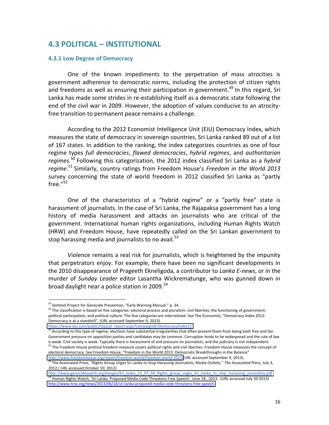# **4.3&POLITICAL&ʹ INSTITUTIONAL**

#### **4.3.1 Low Degree of Democracy**

One of the known impediments to the perpetration of mass atrocities is government adherence to democratic norms, including the protection of citizen rights and freedoms as well as ensuring their participation in government.<sup>49</sup> In this regard, Sri Lanka has made some strides in re-establishing itself as a democratic state following the end of the civil war in 2009. However, the adoption of values conducive to an atrocityfree transition to permanent peace remains a challenge.

According to the 2012 Economist Intelligence Unit (EIU) Democracy Index, which measures the state of democracy in sovereign countries, Sri Lanka ranked 89 out of a list of 167 states. In addition to the ranking, the index categorizes countries as one of four regime types full democracies, flawed democracies, hybrid regimes, and authoritarian regimes.<sup>50</sup> Following this categorization, the 2012 index classified Sri Lanka as a *hybrid* regime.<sup>51</sup> Similarly, country ratings from Freedom House's Freedom in the World 2013 survey concerning the state of world freedom in 2012 classified Sri Lanka as "partly  ${\rm free.}''^{52}$ 

One of the characteristics of a "hybrid regime" or a "partly free" state is harassment of journalists. In the case of Sri Lanka, the Rajapaksa government has a long history of media harassment and attacks on journalists who are critical of the government. International human rights organizations, including Human Rights Watch (HRW) and Freedom House, have repeatedly called on the Sri Lankan government to stop harassing media and journalists to no avail. $53$ 

Violence remains a real risk for journalists, which is heightened by the impunity that perpetrators enjoy. For example, there have been no significant developments in the 2010 disappearance of Prageeth Ekneligoda, a contributor to *Lanka E-news*, or in the murder of Sunday Leader editor Lasantha Wickrematunge, who was gunned down in broad daylight near a police station in 2009. $54$ 

!!!!!!!!!!!!!!!!!!!!!!!!!!!!!!!!!!!!!!!!!!!!!!!!!!!!!!!

<sup>49</sup> Sentinel Project for Genocide Prevention, "Early Warning Manual," p. 34.<br><sup>50</sup> The classification is based on five categories: electoral process and pluralism; civil liberties; the functioning of government; political participation, and political culture. The five categories are interrelated. See The Economist, "Democracy Index 2012: Democracy is at a standstill", (URL accessed September 9, 2013).

[https://www.eiu.com/public/topical\\_report.aspx?campaignid=DemocracyIndex12](https://www.eiu.com/public/topical_report.aspx?campaignid=DemocracyIndex12)

<sup>51</sup> According to this type of regime, elections have substantial irregularities that often prevent them from being both free and fair. Government pressure on opposition parties and candidates may be common. Corruption tends to be widespread and the rule of law<br>is weak. Civil society is weak. Typically there is harassment of and pressure on journalists, an <sup>52</sup> The Freedom House political freedom measure covers political rights and civil liberties. Freedom House measures the concept of

electoral democracy. See Freedom House, "Freedom in the World 2013: Democratic Breakthroughs in the Balance" http://www.freedomhouse.org/report/freedom-world/freedom-world-2013 (URL accessed September 9, 2013).<br><sup>53</sup> The Associated Press, "Rights Group Urges Sri Lanka to Stop Harassing Journalists, Media Outlets," The Associated P

<sup>2012,(</sup> URL accessed October 10, 2012)

[http://www.genocidewatch.org/images/Sri\\_lanka\\_12\\_07\\_04\\_Rights\\_group\\_urges\\_Sri\\_Lanka\\_to\\_stop\\_harassing\\_journalists.pdf](http://www.genocidewatch.org/images/Sri_lanka_12_07_04_Rights_group_urges_Sri_Lanka_to_stop_harassing_journalists.pdf) 54 Human Rights Watch, 'Sri Lanka: Proposed Media Code Threatens Free Speech', June 18, 2013, (URL accessed July 30 2013) http://www.hrw.org/news/2013/06/18/sri-lanka-proposed-media-code-threatens-free-speech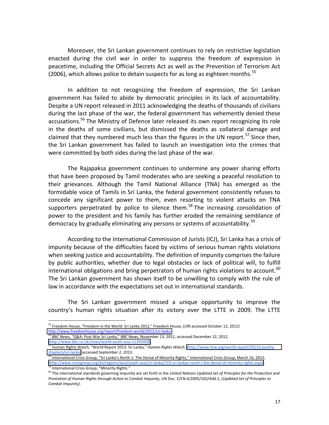Moreover, the Sri Lankan government continues to rely on restrictive legislation enacted during the civil war in order to suppress the freedom of expression in peacetime, including the Official Secrets Act as well as the Prevention of Terrorism Act (2006), which allows police to detain suspects for as long as eighteen months.<sup>55</sup>

In addition to not recognizing the freedom of expression, the Sri Lankan government has failed to abide by democratic principles in its lack of accountability. Despite a UN report released in 2011 acknowledging the deaths of thousands of civilians during the last phase of the war, the federal government has vehemently denied these accusations.<sup>56</sup> The Ministry of Defence later released its own report recognizing its role in the deaths of some civilians, but dismissed the deaths as collateral damage and claimed that they numbered much less than the figures in the UN report.<sup>57</sup> Since then, the Sri Lankan government has failed to launch an investigation into the crimes that were committed by both sides during the last phase of the war.

The Rajapaksa government continues to undermine any power sharing efforts that have been proposed by Tamil moderates who are seeking a peaceful resolution to their grievances. Although the Tamil National Alliance (TNA) has emerged as the formidable voice of Tamils in Sri Lanka, the federal government consistently refuses to concede any significant power to them, even resorting to violent attacks on TNA supporters perpetrated by police to silence them.<sup>58</sup> The increasing consolidation of power to the president and his family has further eroded the remaining semblance of democracy by gradually eliminating any persons or systems of accountability.<sup>59</sup>

According to the International Commission of Jurists (ICJ), Sri Lanka has a crisis of impunity because of the difficulties faced by victims of serious human rights violations when seeking justice and accountability. The definition of impunity comprises the failure by public authorities, whether due to legal obstacles or lack of political will, to fulfill international obligations and bring perpetrators of human rights violations to account.<sup>60</sup> The Sri Lankan government has shown itself to be unwilling to comply with the rule of law in accordance with the expectations set out in international standards.

The Sri Lankan government missed a unique opportunity to improve the country's human rights situation after its victory over the LTTE in 2009. The LTTE

<sup>&</sup>lt;sup>55</sup> Freedom House, "Freedom in the World: Sri Lanka 2012," Freedom House, (URI accessed October 12, 2012) http://www.freedomhouse.org/report/freedom-world/2012/sri-lanka 56 BBC News, "Q&A: Post-War Sri Lanka," BBC News, 1<br><sup>56</sup> BBC News, "Q&A: Post-War Sri Lanka," *BBC* News, November 13, 2012, accessed December 12, 2012,

<sup>(</sup>http://www.bbc.co.uk/news/world-south-asia-11393458). 57 Human Rights Watch, (http://www.hrw.org/world-report/2013/country-<br><sup>57</sup> Human Rights Watch, "World Report 2013: Sri Lanka," Human Rights Watch, (http://www.hrw.org/

chapters/sri-lanka) accessed September 2, 2013.

<sup>58</sup> International Crisis Group, "Sri Lanka's North 1: The Denial of Minority Rights," International Crisis Group, March 16, 2012, (http://www.crisisgroup.org/en/regions/asia/south-asia/sri-lanka/219-sri-lankas-north-i-the-denial-of-minority-rights.aspx).<br><sup>59</sup> International Crisis Group, "Minority Rights."

<sup>&</sup>lt;sup>60</sup> The international standards governing impunity are set forth in the *United Nations Updated Set of Principles for the Protection and Promotion&of&Human&Rights&through&Action&to&Combat&Impunity*,"UN"Doc."E/CN.4/2005/102/Add.1,"(*Updated&Set&of&Principles&to&* Combat Impunity).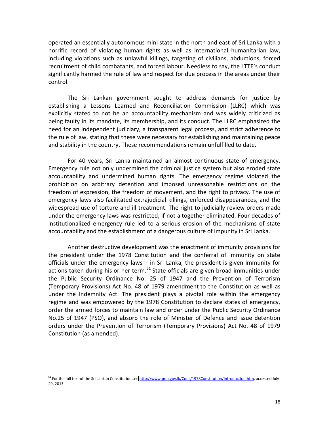operated an essentially autonomous mini state in the north and east of Sri Lanka with a horrific record of violating human rights as well as international humanitarian law, including violations such as unlawful killings, targeting of civilians, abductions, forced recruitment of child combatants, and forced labour. Needless to say, the LTTE's conduct significantly harmed the rule of law and respect for due process in the areas under their control.

The Sri Lankan government sought to address demands for justice by establishing a Lessons Learned and Reconciliation Commission (LLRC) which was explicitly stated to not be an accountability mechanism and was widely criticized as being faulty in its mandate, its membership, and its conduct. The LLRC emphasized the need for an independent judiciary, a transparent legal process, and strict adherence to the rule of law, stating that these were necessary for establishing and maintaining peace and stability in the country. These recommendations remain unfulfilled to date.

For 40 years, Sri Lanka maintained an almost continuous state of emergency. Emergency rule not only undermined the criminal justice system but also eroded state accountability and undermined human rights. The emergency regime violated the prohibition on arbitrary detention and imposed unreasonable restrictions on the freedom of expression, the freedom of movement, and the right to privacy. The use of emergency laws also facilitated extrajudicial killings, enforced disappearances, and the widespread use of torture and ill treatment. The right to judicially review orders made under the emergency laws was restricted, if not altogether eliminated. Four decades of institutionalized emergency rule led to a serious erosion of the mechanisms of state accountability and the establishment of a dangerous culture of impunity in Sri Lanka.

Another destructive development was the enactment of immunity provisions for the president under the 1978 Constitution and the conferral of immunity on state officials under the emergency laws  $-$  in Sri Lanka, the president is given immunity for actions taken during his or her term. $61$  State officials are given broad immunities under the Public Security Ordinance No. 25 of 1947 and the Prevention of Terrorism (Temporary Provisions) Act No. 48 of 1979 amendment to the Constitution as well as under the Indemnity Act. The president plays a pivotal role within the emergency regime and was empowered by the 1978 Constitution to declare states of emergency, order the armed forces to maintain law and order under the Public Security Ordinance No.25 of 1947 (PSO), and absorb the role of Minister of Defence and issue detention orders under the Prevention of Terrorism (Temporary Provisions) Act No. 48 of 1979 Constitution (as amended).

<sup>&</sup>lt;sup>61</sup> For the full text of the Sri Lankan Constitution see http://www.priu.gov.lk/Cons/1978Constitution/Introduction.htm, accessed July 29, 2013.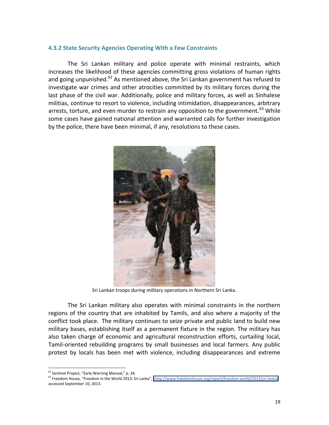#### **4.3.2 State Security Agencies Operating With a Few Constraints**

The Sri Lankan military and police operate with minimal restraints, which increases the likelihood of these agencies committing gross violations of human rights and going unpunished. $^{62}$  As mentioned above, the Sri Lankan government has refused to investigate war crimes and other atrocities committed by its military forces during the last phase of the civil war. Additionally, police and military forces, as well as Sinhalese militias, continue to resort to violence, including intimidation, disappearances, arbitrary arrests, torture, and even murder to restrain any opposition to the government.<sup>63</sup> While some cases have gained national attention and warranted calls for further investigation by the police, there have been minimal, if any, resolutions to these cases.



Sri Lankan troops during military operations in Northern Sri Lanka.

The Sri Lankan military also operates with minimal constraints in the northern regions of the country that are inhabited by Tamils, and also where a majority of the conflict took place. The military continues to seize private and public land to build new military bases, establishing itself as a permanent fixture in the region. The military has also taken charge of economic and agricultural reconstruction efforts, curtailing local, Tamil-oriented rebuilding programs by small businesses and local farmers. Any public protest by locals has been met with violence, including disappearances and extreme

<sup>&</sup>lt;sup>62</sup> Sentinel Project, "Early Warning Manual," p. 34.<br><sup>63</sup> Freedom House, "Freedom in the World 2013: Sri Lanka", (http://www.freedomhouse.org/report/freedom-world/2013/sri-lanka) accessed September 10, 2013.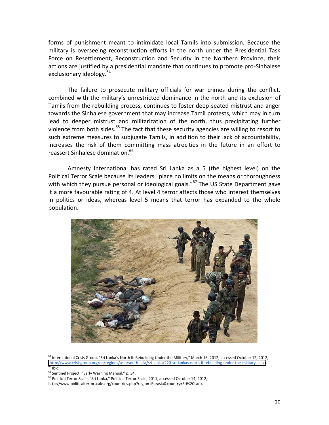forms of punishment meant to intimidate local Tamils into submission. Because the military is overseeing reconstruction efforts in the north under the Presidential Task Force on Resettlement, Reconstruction and Security in the Northern Province, their actions are justified by a presidential mandate that continues to promote pro-Sinhalese exclusionary ideology.<sup>64</sup>

The failure to prosecute military officials for war crimes during the conflict, combined with the military's unrestricted dominance in the north and its exclusion of Tamils from the rebuilding process, continues to foster deep-seated mistrust and anger towards the Sinhalese government that may increase Tamil protests, which may in turn lead to deeper mistrust and militarization of the north, thus precipitating further violence from both sides.<sup>65</sup> The fact that these security agencies are willing to resort to such extreme measures to subjugate Tamils, in addition to their lack of accountability, increases the risk of them committing mass atrocities in the future in an effort to reassert Sinhalese domination.<sup>66</sup>

Amnesty International has rated Sri Lanka as a 5 (the highest level) on the Political Terror Scale because its leaders "place no limits on the means or thoroughness with which they pursue personal or ideological goals."<sup>67</sup> The US State Department gave it a more favourable rating of 4. At level 4 terror affects those who interest themselves in politics or ideas, whereas level 5 means that terror has expanded to the whole population.



<sup>64</sup> International Crisis Group, "Sri Lanka's North II: Rebuilding Under the Military," March 16, 2012, accessed October 12, 2012, (http://www.crisisgroup.org/en/regions/asia/south-asia/sri-lanka/220-sri-lankas-north-ii-rebuilding-under-the-military.aspx).<br><sup>65</sup> Ibid.<br><sup>66</sup> Sentinel Project, "Early Warning Manual," p. 34.

<sup>67</sup> Political Terror Scale, "Sri Lanka," Political Terror Scale, 2011, accessed October 14, 2012,

http://www.politicalterrorscale.org/countries.php?region+Eurasia&country=Sri%20Lanka.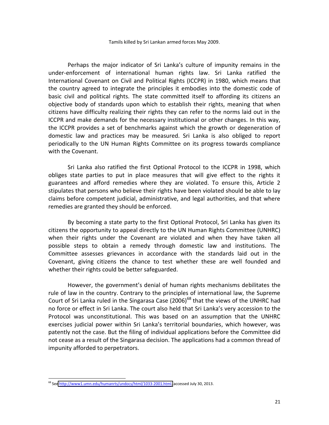Tamils killed by Sri Lankan armed forces May 2009.

Perhaps the major indicator of Sri Lanka's culture of impunity remains in the under-enforcement of international human rights law. Sri Lanka ratified the International Covenant on Civil and Political Rights (ICCPR) in 1980, which means that the country agreed to integrate the principles it embodies into the domestic code of basic civil and political rights. The state committed itself to affording its citizens an objective body of standards upon which to establish their rights, meaning that when citizens have difficulty realizing their rights they can refer to the norms laid out in the ICCPR and make demands for the necessary institutional or other changes. In this way, the ICCPR provides a set of benchmarks against which the growth or degeneration of domestic law and practices may be measured. Sri Lanka is also obliged to report periodically to the UN Human Rights Committee on its progress towards compliance with the Covenant.

Sri Lanka also ratified the first Optional Protocol to the ICCPR in 1998, which obliges state parties to put in place measures that will give effect to the rights it guarantees and afford remedies where they are violated. To ensure this, Article 2 stipulates that persons who believe their rights have been violated should be able to lay claims before competent judicial, administrative, and legal authorities, and that where remedies are granted they should be enforced.

By becoming a state party to the first Optional Protocol, Sri Lanka has given its citizens the opportunity to appeal directly to the UN Human Rights Committee (UNHRC) when their rights under the Covenant are violated and when they have taken all possible steps to obtain a remedy through domestic law and institutions. The Committee assesses grievances in accordance with the standards laid out in the Covenant, giving citizens the chance to test whether these are well founded and whether their rights could be better safeguarded.

However, the government's denial of human rights mechanisms debilitates the rule of law in the country. Contrary to the principles of international law, the Supreme Court of Sri Lanka ruled in the Singarasa Case (2006)<sup>68</sup> that the views of the UNHRC had no force or effect in Sri Lanka. The court also held that Sri Lanka's very accession to the Protocol was unconstitutional. This was based on an assumption that the UNHRC exercises judicial power within Sri Lanka's territorial boundaries, which however, was patently not the case. But the filing of individual applications before the Committee did not cease as a result of the Singarasa decision. The applications had a common thread of impunity afforded to perpetrators.

<sup>&</sup>lt;sup>68</sup> See http://www1.umn.edu/humanrts/undocs/html/1033-2001.html, accessed July 30, 2013.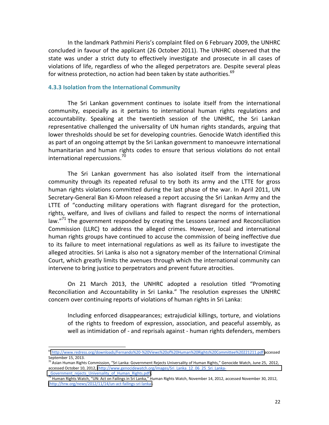In the landmark Pathmini Pieris's complaint filed on 6 February 2009, the UNHRC concluded in favour of the applicant (26 October 2011). The UNHRC observed that the state was under a strict duty to effectively investigate and prosecute in all cases of violations of life, regardless of who the alleged perpetrators are. Despite several pleas for witness protection, no action had been taken by state authorities.<sup>69</sup>

#### **4.3.3 Isolation from the International Community**

The Sri Lankan government continues to isolate itself from the international community, especially as it pertains to international human rights regulations and accountability. Speaking at the twentieth session of the UNHRC, the Sri Lankan representative challenged the universality of UN human rights standards, arguing that lower thresholds should be set for developing countries. Genocide Watch identified this as part of an ongoing attempt by the Sri Lankan government to manoeuvre international humanitarian and human rights codes to ensure that serious violations do not entail international repercussions.<sup>70</sup>

The Sri Lankan government has also isolated itself from the international community through its repeated refusal to try both its army and the LTTE for gross human rights violations committed during the last phase of the war. In April 2011, UN Secretary-General Ban Ki-Moon released a report accusing the Sri Lankan Army and the LTTE of "conducting military operations with flagrant disregard for the protection, rights, welfare, and lives of civilians and failed to respect the norms of international law. $17^{71}$  The government responded by creating the Lessons Learned and Reconciliation Commission (LLRC) to address the alleged crimes. However, local and international human rights groups have continued to accuse the commission of being ineffective due to its failure to meet international regulations as well as its failure to investigate the alleged atrocities. Sri Lanka is also not a signatory member of the International Criminal Court, which greatly limits the avenues through which the international community can intervene to bring justice to perpetrators and prevent future atrocities.

On 21 March 2013, the UNHRC adopted a resolution titled "Promoting Reconciliation and Accountability in Sri Lanka." The resolution expresses the UNHRC concern over continuing reports of violations of human rights in Sri Lanka:

Including enforced disappearances; extrajudicial killings, torture, and violations of the rights to freedom of expression, association, and peaceful assembly, as well as intimidation of - and reprisals against - human rights defenders, members

<sup>69</sup> http://www.redress.org/downloads/Fernando%20-%20Views%20of%20Human%20Rights%20Committee%20221211.pdf accessed September 15, 2013.

 $^{70}$  Asian Human Rights Commission, "Sri Lanka: Government Rejects Universality of Human Rights," Genocide Watch, June 25, 2012, accessed October 10, 2012, (http://www.genocidewatch.org/images/Sri\_Lanka\_12\_06\_25\_Sri\_Lanka-

Government\_rejects\_Universality\_of\_Human\_Rights.pdf). *11* Human Rights Watch, November 14, 2012, accessed November 30, 2012, <sup>71</sup> Human Rights Watch, "UN: Act on Failings in Sri Lanka," Human Rights Watch, November 14, 20 (http://hrw.org/news/2012/11/14/un-act-failings-sri-lanka).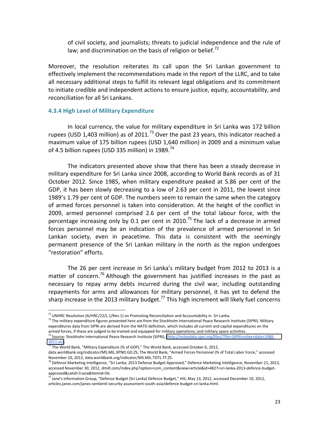of civil society, and journalists; threats to judicial independence and the rule of law; and discrimination on the basis of religion or belief.<sup>72</sup>

Moreover, the resolution reiterates its call upon the Sri Lankan government to effectively implement the recommendations made in the report of the LLRC, and to take all necessary additional steps to fulfill its relevant legal obligations and its commitment to initiate credible and independent actions to ensure justice, equity, accountability, and reconciliation for all Sri Lankans.

#### **4.3.4 High Level of Military Expenditure**

In local currency, the value for military expenditure in Sri Lanka was 172 billion rupees (USD 1,403 million) as of 2011.<sup>73</sup> Over the past 23 years, this indicator reached a maximum value of 175 billion rupees (USD 1,640 million) in 2009 and a minimum value of 4.5 billion rupees (USD 335 million) in 1989.<sup>74</sup>

The indicators presented above show that there has been a steady decrease in military expenditure for Sri Lanka since 2008, according to World Bank records as of 31 October 2012. Since 1985, when military expenditure peaked at 5.86 per cent of the GDP, it has been slowly decreasing to a low of 2.63 per cent in 2011, the lowest since 1989's 1.79 per cent of GDP. The numbers seem to remain the same when the category of armed forces personnel is taken into consideration. At the height of the conflict in 2009, armed personnel comprised 2.6 per cent of the total labour force, with the percentage increasing only by 0.1 per cent in 2010.<sup>75</sup> The lack of a decrease in armed forces personnel may be an indication of the prevalence of armed personnel in Sri Lankan society, even in peacetime. This data is consistent with the seemingly permanent presence of the Sri Lankan military in the north as the region undergoes "restoration" efforts.

The 26 per cent increase in Sri Lanka's military budget from 2012 to 2013 is a matter of concern.<sup>76</sup> Although the government has justified increases in the past as necessary to repay army debts incurred during the civil war, including outstanding repayments for arms and allowances for military personnel, it has yet to defend the sharp increase in the 2013 military budget.<sup>77</sup> This high increment will likely fuel concerns

 $^{72}$  UNHRC Resolution (A/HRC/22/L.1/Rev.1) on Promoting Reconciliation and Accountability in Sri Lanka.<br><sup>73</sup> The military expenditure figures presented here are from the Stockholm International Peace Research Institute expenditures data from SIPRI are derived from the NATO definition, which includes all current and capital expenditures on the armed forces, if these are judged to be trained and equipped for military operations; and military space activities.<br><sup>74</sup> Source: Stockholm International Peace Research Institute (SIPRI), (http://milexdata.sipri.org/files/

 $\frac{2011.x}{5}$ .<br><sup>75</sup> The World Bank, "Military Expenditure (% of GDP)," The World Bank, accessed October 6, 2012,

data.worldbank.org/indicator/MS.MIL.XPND.GD.ZS; The World Bank, "Armed Forces Personnel (% of Total Labor Force," accessed<br>November 10, 2012, data.worldbank.org/indicator/MS.MIL.TOTL.TF.ZS.

<sup>&</sup>lt;sup>76</sup> Defence Marketing Intelligence, "Sri Lanka; 2013 Defense Budget Approved," Defence Marketing Intelligence, November 21, 2012, accessed November 30, 2012, dmilt.com/index.php?option=com\_content&view+article&id+4827=sri-lanka-2013-defence-budget-approved&catid=3:asia&Itemid=56.

 $^{77}$  Jane's Information Group, "Defence Budget (Sri Lanka) Defence Budget," HIS, May 13, 2012, accessed December 10, 2012, articles.janes.com/janes-sentientl-security-assessment-south-asia/defence-budget-sri-lanka.html.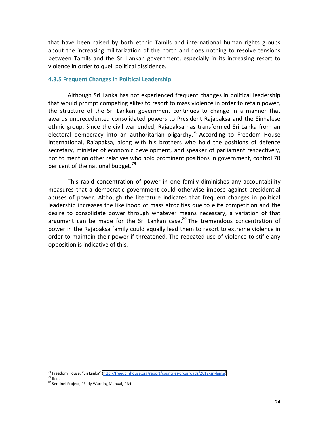that have been raised by both ethnic Tamils and international human rights groups about the increasing militarization of the north and does nothing to resolve tensions between Tamils and the Sri Lankan government, especially in its increasing resort to violence in order to quell political dissidence.

#### **4.3.5 Frequent Changes in Political Leadership**

Although Sri Lanka has not experienced frequent changes in political leadership that would prompt competing elites to resort to mass violence in order to retain power, the structure of the Sri Lankan government continues to change in a manner that awards unprecedented consolidated powers to President Rajapaksa and the Sinhalese ethnic group. Since the civil war ended, Rajapaksa has transformed Sri Lanka from an electoral democracy into an authoritarian oligarchy.<sup>78</sup> According to Freedom House International, Rajapaksa, along with his brothers who hold the positions of defence secretary, minister of economic development, and speaker of parliament respectively, not to mention other relatives who hold prominent positions in government, control 70 per cent of the national budget.<sup>79</sup>

This rapid concentration of power in one family diminishes any accountability measures that a democratic government could otherwise impose against presidential abuses of power. Although the literature indicates that frequent changes in political leadership increases the likelihood of mass atrocities due to elite competition and the desire to consolidate power through whatever means necessary, a variation of that argument can be made for the Sri Lankan case. $80$  The tremendous concentration of power in the Rajapaksa family could equally lead them to resort to extreme violence in order to maintain their power if threatened. The repeated use of violence to stifle any opposition is indicative of this.

<sup>&</sup>lt;sup>78</sup> Freedom House, "Sri Lanka" (<u>http://freedomhouse.org/report/countries-crossroads/2012/sri-lanka)</u><br><sup>79</sup> Ibid.

 $\frac{80}{80}$ lbid.<br><sup>80</sup> Sentinel Project, "Early Warning Manual, " 34.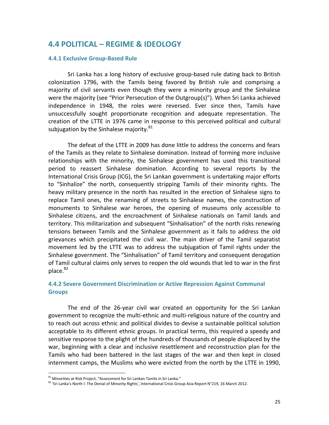# **4.4&POLITICAL&ʹ REGIME&&&IDEOLOGY**

#### **4.4.1 Exclusive Group-Based Rule**

Sri Lanka has a long history of exclusive group-based rule dating back to British colonization 1796, with the Tamils being favored by British rule and comprising a majority of civil servants even though they were a minority group and the Sinhalese were the majority (see "Prior Persecution of the Outgroup(s)"). When Sri Lanka achieved independence in 1948, the roles were reversed. Ever since then, Tamils have unsuccessfully sought proportionate recognition and adequate representation. The creation of the LTTE in 1976 came in response to this perceived political and cultural subjugation by the Sinhalese majority. $81$ 

The defeat of the LTTE in 2009 has done little to address the concerns and fears of the Tamils as they relate to Sinhalese domination. Instead of forming more inclusive relationships with the minority, the Sinhalese government has used this transitional period to reassert Sinhalese domination. According to several reports by the International Crisis Group (ICG), the Sri Lankan government is undertaking major efforts to "Sinhalize" the north, consequently stripping Tamils of their minority rights. The heavy military presence in the north has resulted in the erection of Sinhalese signs to replace Tamil ones, the renaming of streets to Sinhalese names, the construction of monuments to Sinhalese war heroes, the opening of museums only accessible to Sinhalese citizens, and the encroachment of Sinhalese nationals on Tamil lands and territory. This militarization and subsequent "Sinhalisation" of the north risks renewing tensions between Tamils and the Sinhalese government as it fails to address the old grievances which precipitated the civil war. The main driver of the Tamil separatist movement led by the LTTE was to address the subjugation of Tamil rights under the Sinhalese government. The "Sinhalisation" of Tamil territory and consequent derogation of Tamil cultural claims only serves to reopen the old wounds that led to war in the first  $place.<sup>82</sup>$ 

#### **4.4.2 Severe Government Discrimination or Active Repression Against Communal Groups**

The end of the 26-year civil war created an opportunity for the Sri Lankan government to recognize the multi-ethnic and multi-religious nature of the country and to reach out across ethnic and political divides to devise a sustainable political solution acceptable to its different ethnic groups. In practical terms, this required a speedy and sensitive response to the plight of the hundreds of thousands of people displaced by the war, beginning with a clear and inclusive resettlement and reconstruction plan for the Tamils who had been battered in the last stages of the war and then kept in closed internment camps, the Muslims who were evicted from the north by the LTTE in 1990,

 $^{81}$  Minorities at Risk Project, "Assessment for Sri Lankan Tamils in Sri Lanka."

<sup>82 &#</sup>x27;Sri Lanka's North I: The Denial of Minority Rights', International Crisis Group Asia Report N°219, 16 March 2012.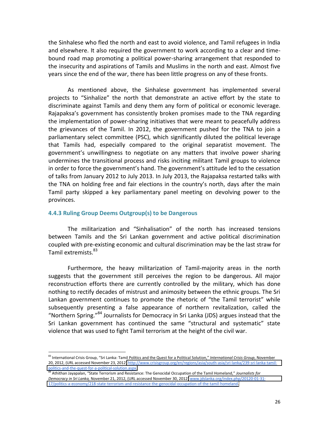the Sinhalese who fled the north and east to avoid violence, and Tamil refugees in India and elsewhere. It also required the government to work according to a clear and timebound road map promoting a political power-sharing arrangement that responded to the insecurity and aspirations of Tamils and Muslims in the north and east. Almost five years since the end of the war, there has been little progress on any of these fronts.

As mentioned above, the Sinhalese government has implemented several projects to "Sinhalize" the north that demonstrate an active effort by the state to discriminate against Tamils and deny them any form of political or economic leverage. Rajapaksa's government has consistently broken promises made to the TNA regarding the implementation of power-sharing initiatives that were meant to peacefully address the grievances of the Tamil. In 2012, the government pushed for the TNA to join a parliamentary select committee (PSC), which significantly diluted the political leverage that Tamils had, especially compared to the original separatist movement. The government's unwillingness to negotiate on any matters that involve power sharing undermines the transitional process and risks inciting militant Tamil groups to violence in order to force the government's hand. The government's attitude led to the cessation of talks from January 2012 to July 2013. In July 2013, the Rajapaksa restarted talks with the TNA on holding free and fair elections in the country's north, days after the main Tamil party skipped a key parliamentary panel meeting on devolving power to the provinces.

#### **4.4.3 Ruling Group Deems Outgroup(s) to be Dangerous**

!!!!!!!!!!!!!!!!!!!!!!!!!!!!!!!!!!!!!!!!!!!!!!!!!!!!!!!

The militarization and "Sinhalisation" of the north has increased tensions between Tamils and the Sri Lankan government and active political discrimination coupled with pre-existing economic and cultural discrimination may be the last straw for Tamil extremists. 83

Furthermore, the heavy militarization of Tamil-majority areas in the north suggests that the government still perceives the region to be dangerous. All major reconstruction efforts there are currently controlled by the military, which has done nothing to rectify decades of mistrust and animosity between the ethnic groups. The Sri Lankan government continues to promote the rhetoric of "the Tamil terrorist" while subsequently presenting a false appearance of northern revitalization, called the "Northern Spring." $84$  Journalists for Democracy in Sri Lanka (JDS) argues instead that the Sri Lankan government has continued the same "structural and systematic" state violence that was used to fight Tamil terrorism at the height of the civil war.

<sup>83</sup> International Crisis Group, "Sri Lanka: Tamil Politics and the Quest for a Political Solution," International Crisis Group, November 20, 2012, (URL accessed November 23, 2012) http://www.crisisgroup.org/en/regions/asia/south-asia/sri-lanka/239-sri-lanka-tamilpolitics-and-the-quest-for-a-political-solution.aspx.

<sup>&</sup>lt;sup>84</sup> Athithan Jayapalan, "State Terrorism and Resistance: The Genocidal Occupation of the Tamil Homeland," Journalists for *Democracy in Sri Lanka, November 21, 2012, (URL accessed November 30, 2012) www.jdslanka.org/index.php/20120-01-31-*17/politics-a-economy/218-state-terrorism-and-resistance-the-genocidal-occupation-of-the-tamil-homeland.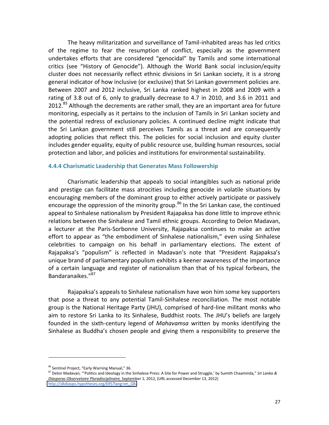The heavy militarization and surveillance of Tamil-inhabited areas has led critics of the regime to fear the resumption of conflict, especially as the government undertakes efforts that are considered "genocidal" by Tamils and some international critics (see "History of Genocide"). Although the World Bank social inclusion/equity cluster does not necessarily reflect ethnic divisions in Sri Lankan society, it is a strong general indicator of how inclusive (or exclusive) that Sri Lankan government policies are. Between 2007 and 2012 inclusive, Sri Lanka ranked highest in 2008 and 2009 with a rating of 3.8 out of 6, only to gradually decrease to 4.7 in 2010, and 3.6 in 2011 and 2012.<sup>85</sup> Although the decrements are rather small, they are an important area for future monitoring, especially as it pertains to the inclusion of Tamils in Sri Lankan society and the potential redress of exclusionary policies. A continued decline might indicate that the Sri Lankan government still perceives Tamils as a threat and are consequently adopting policies that reflect this. The policies for social inclusion and equity cluster includes gender equality, equity of public resource use, building human resources, social protection and labor, and policies and institutions for environmental sustainability.

#### **4.4.4 Charismatic Leadership that Generates Mass Followership**

Charismatic leadership that appeals to social intangibles such as national pride and prestige can facilitate mass atrocities including genocide in volatile situations by encouraging members of the dominant group to either actively participate or passively encourage the oppression of the minority group.<sup>86</sup> In the Sri Lankan case, the continued appeal to Sinhalese nationalism by President Rajapaksa has done little to improve ethnic relations between the Sinhalese and Tamil ethnic groups. According to Delon Madavan, a lecturer at the Paris-Sorbonne University, Rajapaksa continues to make an active effort to appear as "the embodiment of Sinhalese nationalism," even using Sinhalese celebrities to campaign on his behalf in parliamentary elections. The extent of Rajapaksa's "populism" is reflected in Madavan's note that "President Rajapaksa's unique brand of parliamentary populism exhibits a keener awareness of the importance of a certain language and register of nationalism than that of his typical forbears, the Bandaranaikes."<sup>87</sup>

Rajapaksa's appeals to Sinhalese nationalism have won him some key supporters that pose a threat to any potential Tamil-Sinhalese reconciliation. The most notable group is the National Heritage Party (JHU), comprised of hard-line militant monks who aim to restore Sri Lanka to its Sinhalese, Buddhist roots. The JHU's beliefs are largely founded in the sixth-century legend of Mahavamsa written by monks identifying the Sinhalese as Buddha's chosen people and giving them a responsibility to preserve the

<sup>86</sup> Sentinel Project, "Early Warning Manual," 36.

<sup>87</sup> Delon Madavan, "'Politics and Ideology in the Sinhalese Press: A Site for Power and Struggle,' by Sumith Chaaminda," Sri Lanka & Diasporas Observetoire Pluradisciplinaire, September 1, 2012, (URL accessed December 13, 2012) [http://slkdiaspo.hypotheses.org/695?lang=en\\_GB.](http://slkdiaspo.hypotheses.org/695?lang=en_GB)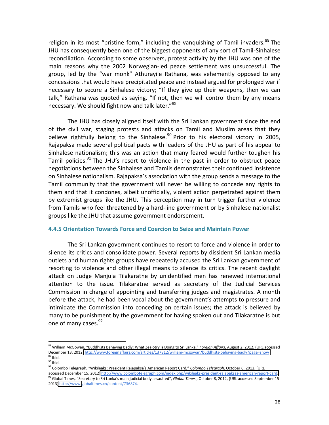religion in its most "pristine form," including the vanguishing of Tamil invaders.<sup>88</sup> The JHU has consequently been one of the biggest opponents of any sort of Tamil-Sinhalese reconciliation. According to some observers, protest activity by the JHU was one of the main reasons why the 2002 Norwegian-led peace settlement was unsuccessful. The group, led by the "war monk" Athurayile Rathana, was vehemently opposed to any concessions that would have precipitated peace and instead argued for prolonged war if necessary to secure a Sinhalese victory; "If they give up their weapons, then we can talk," Rathana was quoted as saying. "If not, then we will control them by any means necessary. We should fight now and talk later."<sup>89</sup>

The JHU has closely aligned itself with the Sri Lankan government since the end of the civil war, staging protests and attacks on Tamil and Muslim areas that they believe rightfully belong to the Sinhalese.<sup>90</sup> Prior to his electoral victory in 2005, Rajapaksa made several political pacts with leaders of the JHU as part of his appeal to Sinhalese nationalism; this was an action that many feared would further toughen his Tamil policies.<sup>91</sup> The JHU's resort to violence in the past in order to obstruct peace negotiations between the Sinhalese and Tamils demonstrates their continued insistence on Sinhalese nationalism. Rajapaksa's association with the group sends a message to the Tamil community that the government will never be willing to concede any rights to them and that it condones, albeit unofficially, violent action perpetrated against them by extremist groups like the JHU. This perception may in turn trigger further violence from Tamils who feel threatened by a hard-line government or by Sinhalese nationalist groups like the JHU that assume government endorsement.

#### **4.4.5&Orientation&Towards&Force&and&Coercion&to&Seize&and&Maintain&Power**

The Sri Lankan government continues to resort to force and violence in order to silence its critics and consolidate power. Several reports by dissident Sri Lankan media outlets and human rights groups have repeatedly accused the Sri Lankan government of resorting to violence and other illegal means to silence its critics. The recent daylight attack on Judge Manjula Tilakaratne by unidentified men has renewed international attention to the issue. Tilakaratne served as secretary of the Judicial Services Commission in charge of appointing and transferring judges and magistrates. A month before the attack, he had been vocal about the government's attempts to pressure and intimidate the Commission into conceding on certain issues; the attack is believed by many to be punishment by the government for having spoken out and Tilakaratne is but one of many cases.<sup>92</sup>

<sup>&</sup>lt;sup>88</sup> William McGowan, "Buddhists Behaving Badly: What Zealotry is Doing to Sri Lanka," Foreign Affairs, August 2, 2012, (URL accessed December 13, 2012) http://www.foreignaffairs.com/articles/137812/william-mcgowan/buddhists-behaving-badly?page=show<br><sup>89</sup> Ibid.

<sup>&</sup>lt;sup>90</sup> Ibid.<br><sup>91</sup> Colombo Telegraph, "Wikileaks: President Rajapaksa's American Report Card," *Colombo Telegraph,* October 6, 2012, (URL<br>accessed December 15, 2012) <u>http://www.colombotelegraph.com/index.php/wikileaks-presid</u> <sup>92</sup> Global Times, "Secretary to Sri Lanka's main judicial body assaulted", Global Times, October 8, 2012, (URL accessed September 15 2013) http://www.globaltimes.cn/content/736874.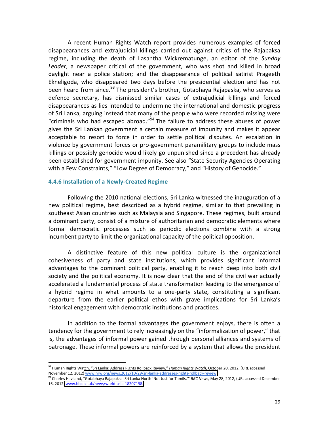A recent Human Rights Watch report provides numerous examples of forced disappearances and extrajudicial killings carried out against critics of the Rajapaksa regime, including the death of Lasantha Wickrematunge, an editor of the *Sunday* Leader, a newspaper critical of the government, who was shot and killed in broad daylight near a police station; and the disappearance of political satirist Prageeth Ekneligoda, who disappeared two days before the presidential election and has not been heard from since.<sup>93</sup> The president's brother, Gotabhaya Rajapaska, who serves as defence secretary, has dismissed similar cases of extrajudicial killings and forced disappearances as lies intended to undermine the international and domestic progress of Sri Lanka, arguing instead that many of the people who were recorded missing were "criminals who had escaped abroad."<sup>94</sup> The failure to address these abuses of power gives the Sri Lankan government a certain measure of impunity and makes it appear acceptable to resort to force in order to settle political disputes. An escalation in violence by government forces or pro-government paramilitary groups to include mass killings or possibly genocide would likely go unpunished since a precedent has already been established for government impunity. See also "State Security Agencies Operating with a Few Constraints," "Low Degree of Democracy," and "History of Genocide."

#### **4.4.6 Installation of a Newly-Created Regime**

!!!!!!!!!!!!!!!!!!!!!!!!!!!!!!!!!!!!!!!!!!!!!!!!!!!!!!!

Following the 2010 national elections, Sri Lanka witnessed the inauguration of a new political regime, best described as a hybrid regime, similar to that prevailing in southeast Asian countries such as Malaysia and Singapore. These regimes, built around a dominant party, consist of a mixture of authoritarian and democratic elements where formal democratic processes such as periodic elections combine with a strong incumbent party to limit the organizational capacity of the political opposition.

A distinctive feature of this new political culture is the organizational cohesiveness of party and state institutions, which provides significant informal advantages to the dominant political party, enabling it to reach deep into both civil society and the political economy. It is now clear that the end of the civil war actually accelerated a fundamental process of state transformation leading to the emergence of a hybrid regime in what amounts to a one-party state, constituting a significant departure from the earlier political ethos with grave implications for Sri Lanka's historical engagement with democratic institutions and practices.

In addition to the formal advantages the government enjoys, there is often a tendency for the government to rely increasingly on the "informalization of power," that is, the advantages of informal power gained through personal alliances and systems of patronage. These informal powers are reinforced by a system that allows the president

<sup>&</sup>lt;sup>93</sup> Human Rights Watch, "Sri Lanka: Address Rights Rollback Review," Human Rights Watch, October 20, 2012, (URL accessed<br>November 12, 2012) www.hrw.org/news.2012/10/29/sri-lanka-addresses-rights-rollback-review.

<sup>&</sup>lt;sup>94</sup> Charles Haviland, "Gotabhaya Rajapaksa: Sri Lanka North 'Not Just for Tamils,'" BBC News, May 28, 2012, (URL accessed December 16, 2012) www.bbc.co.uk/news/world-asia-18207198.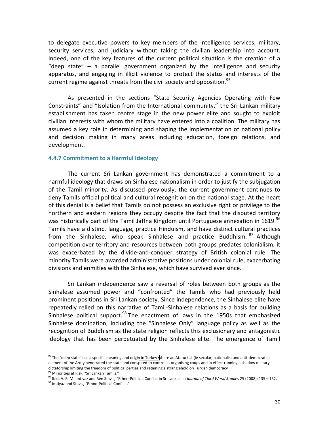to delegate executive powers to key members of the intelligence services, military, security services, and judiciary without taking the civilian leadership into account. Indeed, one of the key features of the current political situation is the creation of a "deep state"  $-$  a parallel government organized by the intelligence and security apparatus, and engaging in illicit violence to protect the status and interests of the current regime against threats from the civil society and opposition.<sup>95</sup>

As presented in the sections "State Security Agencies Operating with Few Constraints" and "Isolation from the International community," the Sri Lankan military establishment has taken centre stage in the new power elite and sought to exploit civilian interests with whom the military have entered into a coalition. The military has assumed a key role in determining and shaping the implementation of national policy and decision making in many areas including education, foreign relations, and development.

#### **4.4.7 Commitment to a Harmful Ideology**

The current Sri Lankan government has demonstrated a commitment to a harmful ideology that draws on Sinhalese nationalism in order to justify the subjugation of the Tamil minority. As discussed previously, the current government continues to deny Tamils official political and cultural recognition on the national stage. At the heart of this denial is a belief that Tamils do not possess an exclusive right or privilege to the northern and eastern regions they occupy despite the fact that the disputed territory was historically part of the Tamil Jaffna Kingdom until Portuguese annexation in 1619.<sup>96</sup> Tamils have a distinct language, practice Hinduism, and have distinct cultural practices from the Sinhalese, who speak Sinhalese and practice Buddhism. <sup>97</sup> Although competition over territory and resources between both groups predates colonialism, it was exacerbated by the divide-and-conquer strategy of British colonial rule. The minority Tamils were awarded administrative positions under colonial rule, exacerbating divisions and enmities with the Sinhalese, which have survived ever since.

Sri Lankan independence saw a reversal of roles between both groups as the Sinhalese assumed power and "confronted" the Tamils who had previously held prominent positions in Sri Lankan society. Since independence, the Sinhalese elite have repeatedly relied on this narrative of Tamil-Sinhalese relations as a basis for building Sinhalese political support.<sup>98</sup> The enactment of laws in the 1950s that emphasized Sinhalese domination, including the "Sinhalese Only" language policy as well as the recognition of Buddhism as the state religion reflects this exclusionary and antagonistic ideology that has been perpetuated by the Sinhalese elite. The emergence of Tamil

 $95$  The "deep state" has a specific meaning and origin in Turkey where an Ataturkist (ie secular, nationalist and anti-democratic) element of the Army penetrated the state and conspired to control it, organising coups and in effect running a shadow military dictatorship limiting the freedom of political parties and retaining a stranglehold on Turkish democracy<br><sup>96</sup> Minorities at Risk. "Sri Lankan Tamils."

<sup>&</sup>lt;sup>97</sup> Ibid: A. R. M. Imtiyaz and Ben Stavis, "Ethno-Political Conflict in Sri Lanka," in Journal of Third World Studies 25 (2008): 135 - 152.

<sup>98</sup> Imtiyaz and Stavis, "Ethno-Political Conflict."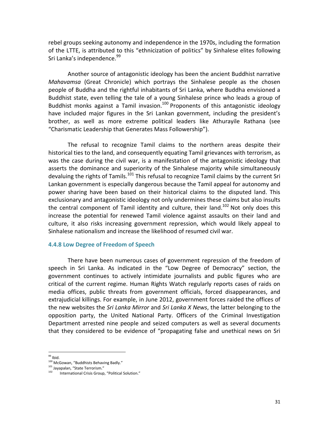rebel groups seeking autonomy and independence in the 1970s, including the formation of the LTTE, is attributed to this "ethnicization of politics" by Sinhalese elites following Sri Lanka's independence.<sup>99</sup>

Another source of antagonistic ideology has been the ancient Buddhist narrative *Mahavamsa* (Great Chronicle) which portrays the Sinhalese people as the chosen people of Buddha and the rightful inhabitants of Sri Lanka, where Buddha envisioned a Buddhist state, even telling the tale of a young Sinhalese prince who leads a group of Buddhist monks against a Tamil invasion.<sup>100</sup> Proponents of this antagonistic ideology have included major figures in the Sri Lankan government, including the president's brother, as well as more extreme political leaders like Athurayile Rathana (see "Charismatic Leadership that Generates Mass Followership").

The refusal to recognize Tamil claims to the northern areas despite their historical ties to the land, and consequently equating Tamil grievances with terrorism, as was the case during the civil war, is a manifestation of the antagonistic ideology that asserts the dominance and superiority of the Sinhalese majority while simultaneously devaluing the rights of Tamils.<sup>101</sup> This refusal to recognize Tamil claims by the current Sri Lankan government is especially dangerous because the Tamil appeal for autonomy and power sharing have been based on their historical claims to the disputed land. This exclusionary and antagonistic ideology not only undermines these claims but also insults the central component of Tamil identity and culture, their land.<sup>102</sup> Not only does this increase the potential for renewed Tamil violence against assaults on their land and culture, it also risks increasing government repression, which would likely appeal to Sinhalese nationalism and increase the likelihood of resumed civil war.

#### **4.4.8 Low Degree of Freedom of Speech**

There have been numerous cases of government repression of the freedom of speech in Sri Lanka. As indicated in the "Low Degree of Democracy" section, the government continues to actively intimidate journalists and public figures who are critical of the current regime. Human Rights Watch regularly reports cases of raids on media offices, public threats from government officials, forced disappearances, and extrajudicial killings. For example, in June 2012, government forces raided the offices of the new websites the *Sri Lanka Mirror* and *Sri Lanka X News*, the latter belonging to the opposition party, the United National Party. Officers of the Criminal Investigation Department arrested nine people and seized computers as well as several documents that they considered to be evidence of "propagating false and unethical news on Sri

<sup>&</sup>lt;sup>99</sup> Ibid.<br><sup>100</sup> McGowan, "Buddhists Behaving Badly."<br><sup>101</sup> Jayapalan, "State Terrorism."<br><sup>102</sup> International Crisis Group. "Political

International Crisis Group, "Political Solution."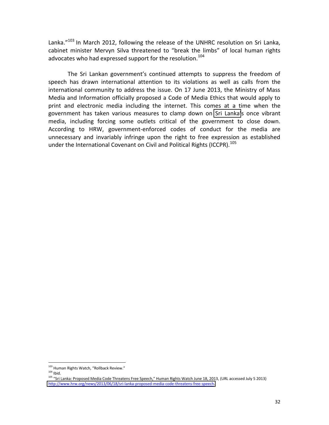Lanka."<sup>103</sup> In March 2012, following the release of the UNHRC resolution on Sri Lanka, cabinet minister Mervyn Silva threatened to "break the limbs" of local human rights advocates who had expressed support for the resolution.<sup>104</sup>

The Sri Lankan government's continued attempts to suppress the freedom of speech has drawn international attention to its violations as well as calls from the international community to address the issue. On 17 June 2013, the Ministry of Mass Media and Information officially proposed a Code of Media Ethics that would apply to print and electronic media including the internet. This comes at a time when the government has taken various measures to clamp down on Sri Lanka's once vibrant media, including forcing some outlets critical of the government to close down. According to HRW, government-enforced codes of conduct for the media are unnecessary and invariably infringe upon the right to free expression as established under the International Covenant on Civil and Political Rights (ICCPR).<sup>105</sup>

<sup>!!!!!!!!!!!!!!!!!!!!!!!!!!!!!!!!!!!!!!!!!!!!!!!!!!!!!!!</sup>  $103$  Human Rights Watch, "Rollback Review."<br> $104$  lbid.

<sup>&</sup>lt;sup>105</sup> "Sri Lanka: Proposed Media Code Threatens Free Speech," Human Rights Watch June 18, 2013, (URL accessed July 5 2013) http://www.hrw.org/news/2013/06/18/sri-lanka-proposed-media-code-threatens-free-speech.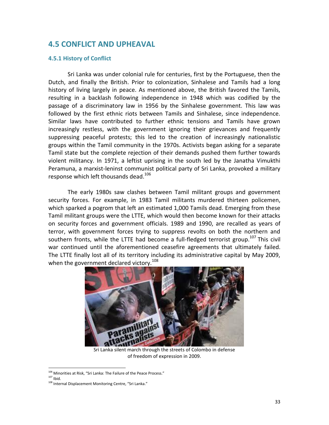# **4.5 CONFLICT AND UPHEAVAL**

#### **4.5.1 History of Conflict**

Sri Lanka was under colonial rule for centuries, first by the Portuguese, then the Dutch, and finally the British. Prior to colonization, Sinhalese and Tamils had a long history of living largely in peace. As mentioned above, the British favored the Tamils, resulting in a backlash following independence in 1948 which was codified by the passage of a discriminatory law in 1956 by the Sinhalese government. This law was followed by the first ethnic riots between Tamils and Sinhalese, since independence. Similar laws have contributed to further ethnic tensions and Tamils have grown increasingly restless, with the government ignoring their grievances and frequently suppressing peaceful protests; this led to the creation of increasingly nationalistic groups within the Tamil community in the 1970s. Activists began asking for a separate Tamil state but the complete rejection of their demands pushed them further towards violent militancy. In 1971, a leftist uprising in the south led by the Janatha Vimukthi Peramuna, a marxist-leninst communist political party of Sri Lanka, provoked a military response which left thousands dead.<sup>106</sup>

The early 1980s saw clashes between Tamil militant groups and government security forces. For example, in 1983 Tamil militants murdered thirteen policemen, which sparked a pogrom that left an estimated 1,000 Tamils dead. Emerging from these Tamil militant groups were the LTTE, which would then become known for their attacks on security forces and government officials. 1989 and 1990, are recalled as years of terror, with government forces trying to suppress revolts on both the northern and southern fronts, while the LTTE had become a full-fledged terrorist group.<sup>107</sup> This civil war continued until the aforementioned ceasefire agreements that ultimately failed. The LTTE finally lost all of its territory including its administrative capital by May 2009, when the government declared victory.<sup>108</sup>



Sri Lanka silent march through the streets of Colombo in defense of freedom of expression in 2009.

<sup>&</sup>lt;sup>106</sup> Minorities at Risk, "Sri Lanka: The Failure of the Peace Process."<br><sup>107</sup> Ibid.

<sup>107</sup> Ibid.<br>108 Internal Displacement Monitoring Centre, "Sri Lanka."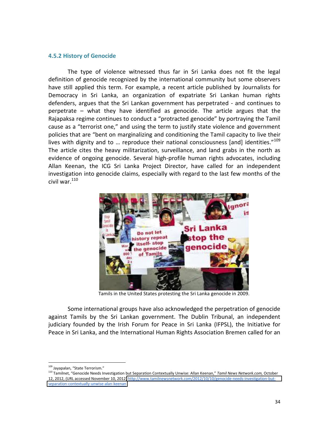#### **4.5.2 History of Genocide**

The type of violence witnessed thus far in Sri Lanka does not fit the legal definition of genocide recognized by the international community but some observers have still applied this term. For example, a recent article published by Journalists for Democracy in Sri Lanka, an organization of expatriate Sri Lankan human rights defenders, argues that the Sri Lankan government has perpetrated - and continues to perpetrate  $-$  what they have identified as genocide. The article argues that the Rajapaksa regime continues to conduct a "protracted genocide" by portraying the Tamil cause as a "terrorist one," and using the term to justify state violence and government policies that are "bent on marginalizing and conditioning the Tamil capacity to live their lives with dignity and to ... reproduce their national consciousness [and] identities."<sup>109</sup> The article cites the heavy militarization, surveillance, and land grabs in the north as evidence of ongoing genocide. Several high-profile human rights advocates, including Allan Keenan, the ICG Sri Lanka Project Director, have called for an independent investigation into genocide claims, especially with regard to the last few months of the civil war. $110$ 



Tamils in the United States protesting the Sri Lanka genocide in 2009.

Some international groups have also acknowledged the perpetration of genocide against Tamils by the Sri Lankan government. The Dublin Tribunal, an independent judiciary founded by the Irish Forum for Peace in Sri Lanka (IFPSL), the Initiative for Peace in Sri Lanka, and the International Human Rights Association Bremen called for an

<sup>!!!!!!!!!!!!!!!!!!!!!!!!!!!!!!!!!!!!!!!!!!!!!!!!!!!!!!!</sup>  $109$  Jayapalan, "State Terrorism."

<sup>&</sup>lt;sup>110</sup> Tamilnet, "Genocide Needs Investigation but Separation Contextually Unwise: Allan Keenan," Tamil News Network.com, October 12, 2012, (URL accessed November 10, 2012) http://www.tamilnewsnetwork.com/2012/10/10/genocide-needs-investigation-butseparation-contextually-unwise-alan-keenan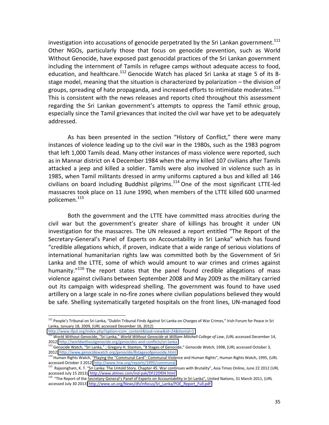investigation into accusations of genocide perpetrated by the Sri Lankan government.<sup>111</sup> Other NGOs, particularly those that focus on genocide prevention, such as World Without Genocide, have exposed past genocidal practices of the Sri Lankan government including the internment of Tamils in refugee camps without adequate access to food, education, and healthcare.<sup>112</sup> Genocide Watch has placed Sri Lanka at stage 5 of its 8stage model, meaning that the situation is characterized by polarization  $-$  the division of groups, spreading of hate propaganda, and increased efforts to intimidate moderates. $^{113}$ This is consistent with the news releases and reports cited throughout this assessment regarding the Sri Lankan government's attempts to oppress the Tamil ethnic group, especially since the Tamil grievances that incited the civil war have yet to be adequately addressed.

As has been presented in the section "History of Conflict," there were many instances of violence leading up to the civil war in the 1980s, such as the 1983 pogrom that left 1,000 Tamils dead. Many other instances of mass violence were reported, such as in Mannar district on 4 December 1984 when the army killed 107 civilians after Tamils attacked a jeep and killed a soldier. Tamils were also involved in violence such as in 1985, when Tamil militants dressed in army uniforms captured a bus and killed all 146 civilians on board including Buddhist pilgrims.<sup>114</sup> One of the most significant LTTE-led massacres took place on 11 June 1990, when members of the LTTE killed 600 unarmed policemen.<sup>115</sup>

Both the government and the LTTE have committed mass atrocities during the civil war but the government's greater share of killings has brought it under UN investigation for the massacres. The UN released a report entitled "The Report of the Secretary-General's Panel of Experts on Accountability in Sri Lanka" which has found "credible allegations which, if proven, indicate that a wide range of serious violations of international humanitarian rights law was committed both by the Government of Sri Lanka and the LTTE, some of which would amount to war crimes and crimes against humanity."<sup>116</sup> The report states that the panel found credible allegations of mass violence against civilians between September 2008 and May 2009 as the military carried out its campaign with widespread shelling. The government was found to have used artillery on a large scale in no-fire zones where civilian populations believed they would be safe. Shelling systematically targeted hospitals on the front lines, UN-managed food

<sup>&</sup>lt;sup>111</sup> People's Tribunal on Sri Lanka, "Dublin Tribunal Finds Against Sri Lanka on Charges of War Crimes," Irish Forum for Peace in Sri Lanka, January 18, 2009, (URL accessed December 16, 2012)

[http://www.ifpsl.org/index.php?option=com\\_content&task=view&id=24&Itemid=1](http://www.ifpsl.org/index.php?option=com_content&task=view&id=24&Itemid=1)<br><sup>112</sup> World Without Genocide, "Sri Lanka," *World Without Genocide at William Mitchell College of Law*, (URL accessed December 14,<br>2012) http://wor

<sup>&</sup>lt;sup>113</sup> Genocide Watch, "Sri Lanka," ; Gregory H. Stanton, "8 Stages of Genocide," Genocide Watch, 1998, (URL accessed October 3, 2012) http://www.genocidewatch.org/genocide/8stagesofgenocide.html

<sup>114</sup> Human Rights Watch, "Playing the "Communal Card": Communal Violence and Human Rights", Human Rights Watch, 1995, (URL accessed October 3 2012) http://www.hrw.org/reports/1995/communal.

<sup>&</sup>lt;sup>115</sup> Rajasingham, K. T. "Sri Lanka: The Untold Story. Chapter 45: War continues with Brutality", Asia Times Online, June 22 2012 (URL accessed July 15 2013), http://www.atimes.com/ind-pak/DF22Df04.html

<sup>&</sup>lt;sup>116</sup> "The Report of the Secretary-General's Panel of Experts on Accountability in Sri Lanka", United Nations, 31 March 2011, (URL accessed July 30 2013) http://www.un.org/News/dh/infocus/Sri\_Lanka/POE\_Report\_Full.pdf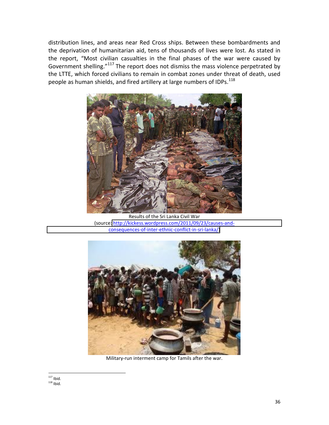distribution lines, and areas near Red Cross ships. Between these bombardments and the deprivation of humanitarian aid, tens of thousands of lives were lost. As stated in the report, "Most civilian casualties in the final phases of the war were caused by Government shelling."<sup>117</sup> The report does not dismiss the mass violence perpetrated by the LTTE, which forced civilians to remain in combat zones under threat of death, used people as human shields, and fired artillery at large numbers of IDPs.<sup>118</sup>



Results of the Sri Lanka Civil War (source: http://kickess.wordpress.com/2011/09/23/causes-andconsequences-of-inter-ethnic-conflict-in-sri-lanka/)



Military-run interment camp for Tamils after the war.

<sup>!!!!!!!!!!!!!!!!!!!!!!!!!!!!!!!!!!!!!!!!!!!!!!!!!!!!!!!</sup>  $117$  Ibid.  $118$  Ibid.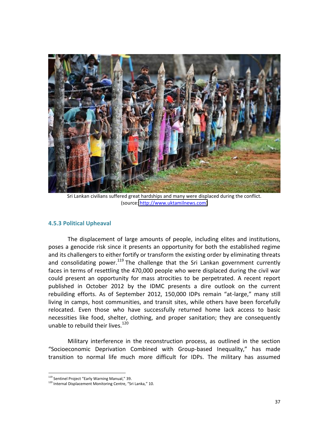

Sri Lankan civilians suffered great hardships and many were displaced during the conflict. (source: [http://www.uktamilnews.com\)](http://www.uktamilnews.com/)

#### **4.5.3 Political Upheaval**

The displacement of large amounts of people, including elites and institutions, poses a genocide risk since it presents an opportunity for both the established regime and its challengers to either fortify or transform the existing order by eliminating threats and consolidating power.<sup>119</sup> The challenge that the Sri Lankan government currently faces in terms of resettling the 470,000 people who were displaced during the civil war could present an opportunity for mass atrocities to be perpetrated. A recent report published in October 2012 by the IDMC presents a dire outlook on the current rebuilding efforts. As of September 2012, 150,000 IDPs remain "at-large," many still living in camps, host communities, and transit sites, while others have been forcefully relocated. Even those who have successfully returned home lack access to basic necessities like food, shelter, clothing, and proper sanitation; they are consequently unable to rebuild their lives.<sup>120</sup>

Military interference in the reconstruction process, as outlined in the section "Socioeconomic Deprivation Combined with Group-based Inequality," has made transition to normal life much more difficult for IDPs. The military has assumed

<sup>!!!!!!!!!!!!!!!!!!!!!!!!!!!!!!!!!!!!!!!!!!!!!!!!!!!!!!!</sup> <sup>119</sup> Sentinel Project "Early Warning Manual," 39.

<sup>&</sup>lt;sup>120</sup> Internal Displacement Monitoring Centre, "Sri Lanka," 10.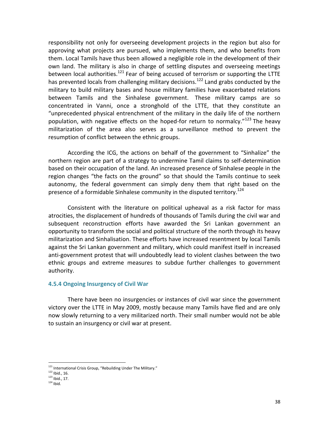responsibility not only for overseeing development projects in the region but also for approving what projects are pursued, who implements them, and who benefits from them. Local Tamils have thus been allowed a negligible role in the development of their own land. The military is also in charge of settling disputes and overseeing meetings between local authorities.<sup>121</sup> Fear of being accused of terrorism or supporting the LTTE has prevented locals from challenging military decisions.<sup>122</sup> Land grabs conducted by the military to build military bases and house military families have exacerbated relations between Tamils and the Sinhalese government. These military camps are so concentrated in Vanni, once a stronghold of the LTTE, that they constitute an "unprecedented physical entrenchment of the military in the daily life of the northern population, with negative effects on the hoped-for return to normalcy." <sup>123</sup> The heavy militarization of the area also serves as a surveillance method to prevent the resumption of conflict between the ethnic groups.

According the ICG, the actions on behalf of the government to "Sinhalize" the northern region are part of a strategy to undermine Tamil claims to self-determination based on their occupation of the land. An increased presence of Sinhalese people in the region changes "the facts on the ground" so that should the Tamils continue to seek autonomy, the federal government can simply deny them that right based on the presence of a formidable Sinhalese community in the disputed territory.<sup>124</sup>

Consistent with the literature on political upheaval as a risk factor for mass atrocities, the displacement of hundreds of thousands of Tamils during the civil war and subsequent reconstruction efforts have awarded the Sri Lankan government an opportunity to transform the social and political structure of the north through its heavy militarization and Sinhalisation. These efforts have increased resentment by local Tamils against the Sri Lankan government and military, which could manifest itself in increased anti-government protest that will undoubtedly lead to violent clashes between the two ethnic groups and extreme measures to subdue further challenges to government authority.

#### **4.5.4 Ongoing Insurgency of Civil War**

There have been no insurgencies or instances of civil war since the government victory over the LTTE in May 2009, mostly because many Tamils have fled and are only now slowly returning to a very militarized north. Their small number would not be able to sustain an insurgency or civil war at present.

 $^{121}$  International Crisis Group, "Rebuilding Under The Military."<br> $^{122}$  Ibid.. 16.

 $123$  Ibid., 17.

 $124$  Ibid.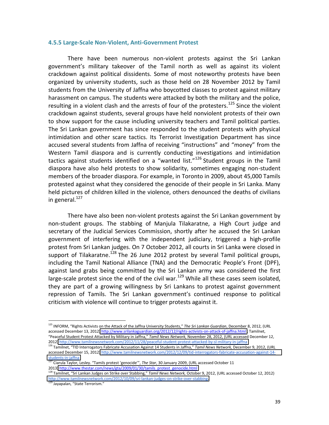#### **4.5.5 Large-Scale Non-Violent, Anti-Government Protest**

There have been numerous non-violent protests against the Sri Lankan government's military takeover of the Tamil north as well as against its violent crackdown against political dissidents. Some of most noteworthy protests have been organized by university students, such as those held on 28 November 2012 by Tamil students from the University of Jaffna who boycotted classes to protest against military harassment on campus. The students were attacked by both the military and the police, resulting in a violent clash and the arrests of four of the protesters.<sup>125</sup> Since the violent crackdown against students, several groups have held nonviolent protests of their own to show support for the cause including university teachers and Tamil political parties. The Sri Lankan government has since responded to the student protests with physical intimidation and other scare tactics. Its Terrorist Investigation Department has since accused several students from Jaffna of receiving "instructions" and "money" from the Western Tamil diaspora and is currently conducting investigations and intimidation tactics against students identified on a "wanted list."<sup>126</sup> Student groups in the Tamil diaspora have also held protests to show solidarity, sometimes engaging non-student members of the broader diaspora. For example, in Toronto in 2009, about 45,000 Tamils protested against what they considered the genocide of their people in Sri Lanka. Many held pictures of children killed in the violence, others denounced the deaths of civilians in general. $^{127}$ 

There have also been non-violent protests against the Sri Lankan government by non-student groups. The stabbing of Manjula Tilakaratne, a High Court judge and secretary of the Judicial Services Commission, shortly after he accused the Sri Lankan government of interfering with the independent judiciary, triggered a high-profile protest from Sri Lankan judges. On 7 October 2012, all courts in Sri Lanka were closed in support of Tilakaratne.<sup>128</sup> The 26 June 2012 protest by several Tamil political groups, including the Tamil National Alliance (TNA) and the Democratic People's Front (DPF), against land grabs being committed by the Sri Lankan army was considered the first large-scale protest since the end of the civil war.<sup>129</sup> While all these cases seem isolated, they are part of a growing willingness by Sri Lankans to protest against government repression of Tamils. The Sri Lankan government's continued response to political criticism with violence will continue to trigger protests against it.

<sup>&</sup>lt;sup>125</sup> INFORM, "Rights Activists on the Attack of the Jaffna University Students," *The Sri Lankan Guardian*, December 8, 2012, (URL accessed December 13, 2012) http://www.srilankaguardian.org/2012/12/rights-activists-on-attack-of-jaffna.html; Tamilnet, "Peaceful Student Protest Attacked by Military in Jaffna," Tamil News Network, November 28, 2012, (URL accessed December 12,<br>2012) http://www.tamilnewsnetwork.com/2012/11/28/peaceful-student-protest-attacked-by-sl-military

<sup>&</sup>lt;sup>126</sup> Tamilnet, "TID Interrogators Fabricate Accusation Against 14 Students in Jaffna," Tamil News Network, December 9, 2012, (URL accessed December 15, 2012) http://www.tamilnewsnetwork.com/2012/12/09/tid-interrogators-fabricate-accusation-against-14students-in-jaffna<br>
127 Ciarula Taylor, Lesley. "Tamils protest 'genocide'", The Star, 30 January 2009, (URL accessed October 11

<sup>2013)</sup> [http://www.thestar.com/news/gta/2009/01/30/tamils\\_protest\\_genocide.html](http://www.thestar.com/news/gta/2009/01/30/tamils_protest_genocide.html)

<sup>&</sup>lt;sup>128</sup> Tamilnet, "Sri Lankan Judges on Strike over Stabbing," Tamil News Network, October 9, 2012, (URL accessed October 12, 2012) http://www.tamilnewsnetwork.com/2012/10/09/sri-lankan-judges-on-strike-over-stabbing.

<sup>&</sup>lt;sup>129</sup> Jayapalan, "State Terrorism."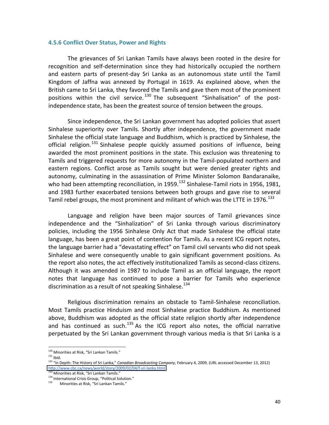#### **4.5.6 Conflict Over Status, Power and Rights**

The grievances of Sri Lankan Tamils have always been rooted in the desire for recognition and self-determination since they had historically occupied the northern and eastern parts of present-day Sri Lanka as an autonomous state until the Tamil Kingdom of Jaffna was annexed by Portugal in 1619. As explained above, when the British came to Sri Lanka, they favored the Tamils and gave them most of the prominent positions within the civil service.  $130$  The subsequent "Sinhalisation" of the postindependence state, has been the greatest source of tension between the groups.

Since independence, the Sri Lankan government has adopted policies that assert Sinhalese superiority over Tamils. Shortly after independence, the government made Sinhalese the official state language and Buddhism, which is practiced by Sinhalese, the official religion.<sup>131</sup> Sinhalese people quickly assumed positions of influence, being awarded the most prominent positions in the state. This exclusion was threatening to Tamils and triggered requests for more autonomy in the Tamil-populated northern and eastern regions. Conflict arose as Tamils sought but were denied greater rights and autonomy, culminating in the assassination of Prime Minister Solomon Bandaranaike, who had been attempting reconciliation, in 1959.<sup>132</sup> Sinhalese-Tamil riots in 1956, 1981, and 1983 further exacerbated tensions between both groups and gave rise to several Tamil rebel groups, the most prominent and militant of which was the LTTE in 1976.<sup>133</sup>

Language and religion have been major sources of Tamil grievances since independence and the "Sinhalization" of Sri Lanka through various discriminatory policies, including the 1956 Sinhalese Only Act that made Sinhalese the official state language, has been a great point of contention for Tamils. As a recent ICG report notes, the language barrier had a "devastating effect" on Tamil civil servants who did not speak Sinhalese and were consequently unable to gain significant government positions. As the report also notes, the act effectively institutionalized Tamils as second-class citizens. Although it was amended in 1987 to include Tamil as an official language, the report notes that language has continued to pose a barrier for Tamils who experience discrimination as a result of not speaking Sinhalese.<sup>134</sup>

Religious discrimination remains an obstacle to Tamil-Sinhalese reconciliation. Most Tamils practice Hinduism and most Sinhalese practice Buddhism. As mentioned above, Buddhism was adopted as the official state religion shortly after independence and has continued as such. $135$  As the ICG report also notes, the official narrative perpetuated by the Sri Lankan government through various media is that Sri Lanka is a

<sup>!!!!!!!!!!!!!!!!!!!!!!!!!!!!!!!!!!!!!!!!!!!!!!!!!!!!!!!</sup> <sup>130</sup> Minorities at Risk, "Sri Lankan Tamils."

<sup>&</sup>lt;sup>131</sup> Ibid.<br><sup>132</sup> "In Depth: The History of Sri Lanka," *Canadian Broadcasting Company,* February 4, 2009, (URL accessed December 13, 2012) http://www.cbc.ca/news/world/story/2009/02/04/f-sri-lanka.html<br><sup>133</sup> Minorities at Risk, "Sri Lankan Tamils."

 $\frac{134}{134}$  International Crisis Group, "Political Solution."

Minorities at Risk, "Sri Lankan Tamils."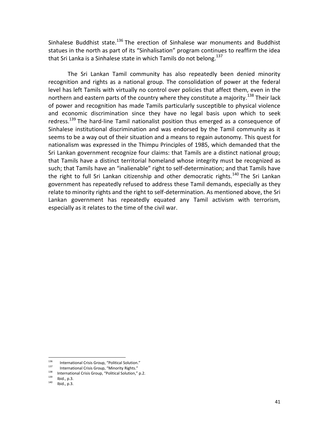Sinhalese Buddhist state.<sup>136</sup> The erection of Sinhalese war monuments and Buddhist statues in the north as part of its "Sinhalisation" program continues to reaffirm the idea that Sri Lanka is a Sinhalese state in which Tamils do not belong.<sup>137</sup>

The Sri Lankan Tamil community has also repeatedly been denied minority recognition and rights as a national group. The consolidation of power at the federal level has left Tamils with virtually no control over policies that affect them, even in the northern and eastern parts of the country where they constitute a majority.<sup>138</sup> Their lack of power and recognition has made Tamils particularly susceptible to physical violence and economic discrimination since they have no legal basis upon which to seek redress.<sup>139</sup> The hard-line Tamil nationalist position thus emerged as a consequence of Sinhalese institutional discrimination and was endorsed by the Tamil community as it seems to be a way out of their situation and a means to regain autonomy. This quest for nationalism was expressed in the Thimpu Principles of 1985, which demanded that the Sri Lankan government recognize four claims: that Tamils are a distinct national group; that Tamils have a distinct territorial homeland whose integrity must be recognized as such; that Tamils have an "inalienable" right to self-determination; and that Tamils have the right to full Sri Lankan citizenship and other democratic rights.<sup>140</sup> The Sri Lankan government has repeatedly refused to address these Tamil demands, especially as they relate to minority rights and the right to self-determination. As mentioned above, the Sri Lankan government has repeatedly equated any Tamil activism with terrorism, especially as it relates to the time of the civil war.

<sup>136 /</sup> International Crisis Group, "Political Solution."<br>137 / International Crisis Group, "Minority Rights."

<sup>&</sup>lt;sup>138</sup> International Crisis Group, "Political Solution," p.2.<br><sup>139</sup> lbid., p.3. Ibid., p.3.

Ibid., p.3.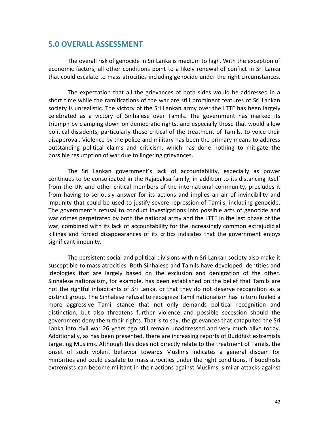### **5.0 OVERALL ASSESSMENT**

The overall risk of genocide in Sri Lanka is medium to high. With the exception of economic factors, all other conditions point to a likely renewal of conflict in Sri Lanka that could escalate to mass atrocities including genocide under the right circumstances.

The expectation that all the grievances of both sides would be addressed in a short time while the ramifications of the war are still prominent features of Sri Lankan society is unrealistic. The victory of the Sri Lankan army over the LTTE has been largely celebrated as a victory of Sinhalese over Tamils. The government has marked its triumph by clamping down on democratic rights, and especially those that would allow political dissidents, particularly those critical of the treatment of Tamils, to voice their disapproval. Violence by the police and military has been the primary means to address outstanding political claims and criticism, which has done nothing to mitigate the possible resumption of war due to lingering grievances.

The Sri Lankan government's lack of accountability, especially as power continues to be consolidated in the Rajapaksa family, in addition to its distancing itself from the UN and other critical members of the international community, precludes it from having to seriously answer for its actions and implies an air of invincibility and impunity that could be used to justify severe repression of Tamils, including genocide. The government's refusal to conduct investigations into possible acts of genocide and war crimes perpetrated by both the national army and the LTTE in the last phase of the war, combined with its lack of accountability for the increasingly common extrajudicial killings and forced disappearances of its critics indicates that the government enjoys significant impunity.

The persistent social and political divisions within Sri Lankan society also make it susceptible to mass atrocities. Both Sinhalese and Tamils have developed identities and ideologies that are largely based on the exclusion and denigration of the other. Sinhalese nationalism, for example, has been established on the belief that Tamils are not the rightful inhabitants of Sri Lanka, or that they do not deserve recognition as a distinct group. The Sinhalese refusal to recognize Tamil nationalism has in turn fueled a more aggressive Tamil stance that not only demands political recognition and distinction, but also threatens further violence and possible secession should the government deny them their rights. That is to say, the grievances that catapulted the Sri Lanka into civil war 26 years ago still remain unaddressed and very much alive today. Additionally, as has been presented, there are increasing reports of Buddhist extremists targeting Muslims. Although this does not directly relate to the treatment of Tamils, the onset of such violent behavior towards Muslims indicates a general disdain for minorities and could escalate to mass atrocities under the right conditions. If Buddhists extremists can become militant in their actions against Muslims, similar attacks against